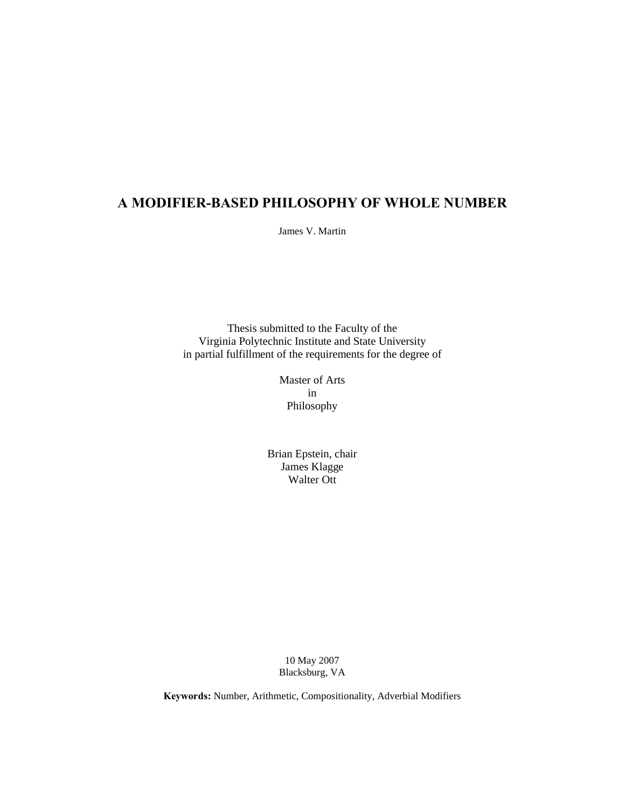# **A MODIFIER-BASED PHILOSOPHY OF WHOLE NUMBER**

James V. Martin

Thesis submitted to the Faculty of the Virginia Polytechnic Institute and State University in partial fulfillment of the requirements for the degree of

> Master of Arts in Philosophy

Brian Epstein, chair James Klagge Walter Ott

> 10 May 2007 Blacksburg, VA

**Keywords:** Number, Arithmetic, Compositionality, Adverbial Modifiers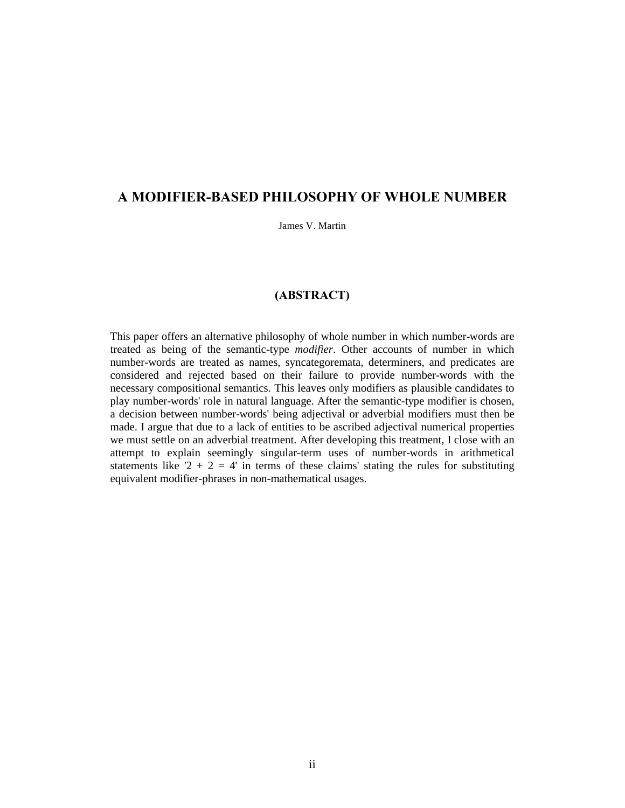# **A MODIFIER-BASED PHILOSOPHY OF WHOLE NUMBER**

James V. Martin

## **(ABSTRACT)**

This paper offers an alternative philosophy of whole number in which number-words are treated as being of the semantic-type *modifier*. Other accounts of number in which number-words are treated as names, syncategoremata, determiners, and predicates are considered and rejected based on their failure to provide number-words with the necessary compositional semantics. This leaves only modifiers as plausible candidates to play number-words' role in natural language. After the semantic-type modifier is chosen, a decision between number-words' being adjectival or adverbial modifiers must then be made. I argue that due to a lack of entities to be ascribed adjectival numerical properties we must settle on an adverbial treatment. After developing this treatment, I close with an attempt to explain seemingly singular-term uses of number-words in arithmetical statements like  $2 + 2 = 4$  in terms of these claims' stating the rules for substituting equivalent modifier-phrases in non-mathematical usages.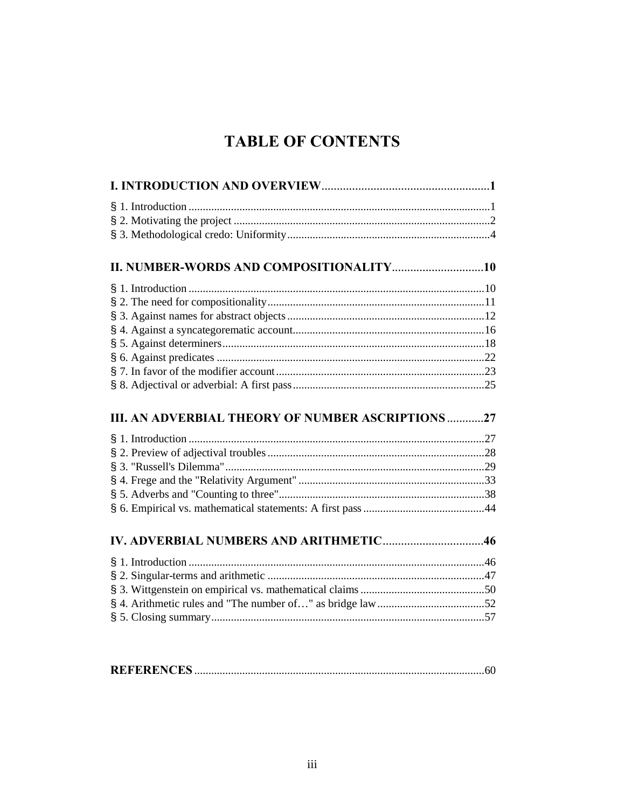# **TABLE OF CONTENTS**

| II. NUMBER-WORDS AND COMPOSITIONALITY10                  |
|----------------------------------------------------------|
|                                                          |
|                                                          |
|                                                          |
|                                                          |
|                                                          |
|                                                          |
|                                                          |
|                                                          |
|                                                          |
|                                                          |
| <b>III. AN ADVERBIAL THEORY OF NUMBER ASCRIPTIONS 27</b> |
|                                                          |
|                                                          |
|                                                          |
|                                                          |
|                                                          |
|                                                          |
|                                                          |
|                                                          |
|                                                          |
|                                                          |
|                                                          |
|                                                          |
|                                                          |

|--|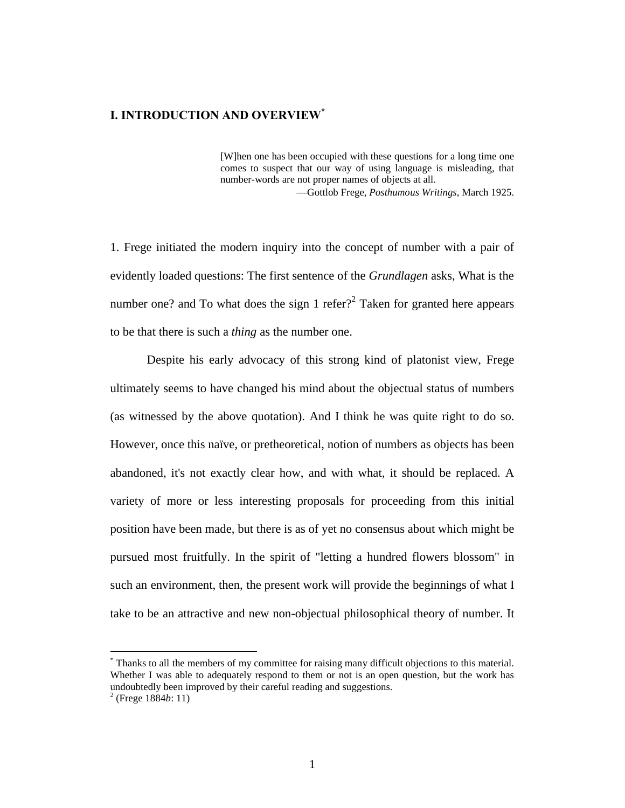## **I. INTRODUCTION AND OVERVIEW\***

[W]hen one has been occupied with these questions for a long time one comes to suspect that our way of using language is misleading, that number-words are not proper names of objects at all.

Gottlob Frege, *Posthumous Writings*, March 1925.

1. Frege initiated the modern inquiry into the concept of number with a pair of evidently loaded questions: The first sentence of the *Grundlagen* asks, What is the number one? and To what does the sign 1 refer?<sup>2</sup> Taken for granted here appears to be that there is such a *thing* as the number one.

Despite his early advocacy of this strong kind of platonist view, Frege ultimately seems to have changed his mind about the objectual status of numbers (as witnessed by the above quotation). And I think he was quite right to do so. However, once this naïve, or pretheoretical, notion of numbers as objects has been abandoned, it's not exactly clear how, and with what, it should be replaced. A variety of more or less interesting proposals for proceeding from this initial position have been made, but there is as of yet no consensus about which might be pursued most fruitfully. In the spirit of "letting a hundred flowers blossom" in such an environment, then, the present work will provide the beginnings of what I take to be an attractive and new non-objectual philosophical theory of number. It

<sup>\*</sup> Thanks to all the members of my committee for raising many difficult objections to this material. Whether I was able to adequately respond to them or not is an open question, but the work has undoubtedly been improved by their careful reading and suggestions.

<sup>2</sup> (Frege 1884*b*: 11)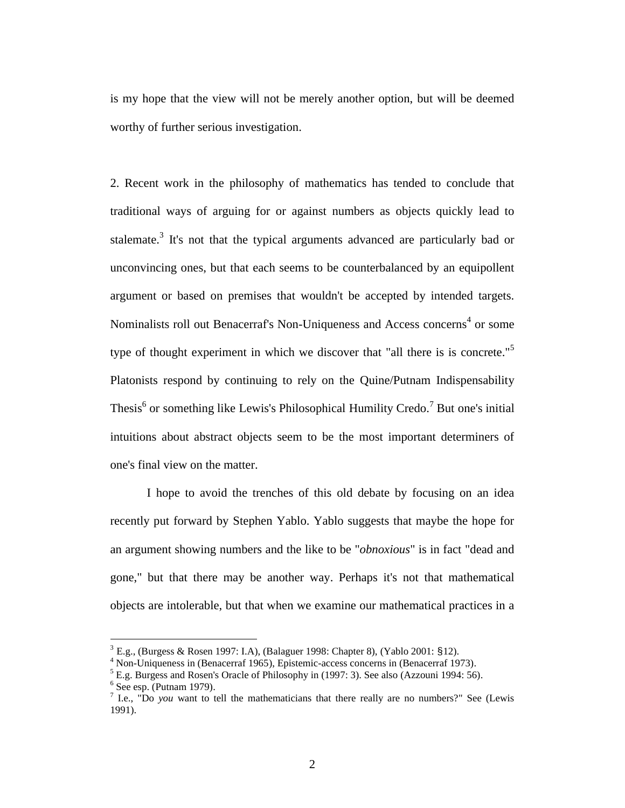is my hope that the view will not be merely another option, but will be deemed worthy of further serious investigation.

2. Recent work in the philosophy of mathematics has tended to conclude that traditional ways of arguing for or against numbers as objects quickly lead to stalemate.<sup>3</sup> It's not that the typical arguments advanced are particularly bad or unconvincing ones, but that each seems to be counterbalanced by an equipollent argument or based on premises that wouldn't be accepted by intended targets. Nominalists roll out Benacerraf's Non-Uniqueness and Access concerns<sup>4</sup> or some type of thought experiment in which we discover that "all there is is concrete."<sup>5</sup> Platonists respond by continuing to rely on the Quine/Putnam Indispensability Thesis<sup>6</sup> or something like Lewis's Philosophical Humility Credo.<sup>7</sup> But one's initial intuitions about abstract objects seem to be the most important determiners of one's final view on the matter.

I hope to avoid the trenches of this old debate by focusing on an idea recently put forward by Stephen Yablo. Yablo suggests that maybe the hope for an argument showing numbers and the like to be "*obnoxious*" is in fact "dead and gone," but that there may be another way. Perhaps it's not that mathematical objects are intolerable, but that when we examine our mathematical practices in a

 $3$  E.g., (Burgess & Rosen 1997: I.A), (Balaguer 1998: Chapter 8), (Yablo 2001: §12).

<sup>&</sup>lt;sup>4</sup> Non-Uniqueness in (Benacerraf 1965), Epistemic-access concerns in (Benacerraf 1973).

<sup>&</sup>lt;sup>5</sup> E.g. Burgess and Rosen's Oracle of Philosophy in (1997: 3). See also (Azzouni 1994: 56).

 $<sup>6</sup>$  See esp. (Putnam 1979).</sup>

<sup>&</sup>lt;sup>7</sup> I.e., "Do *you* want to tell the mathematicians that there really are no numbers?" See (Lewis 1991).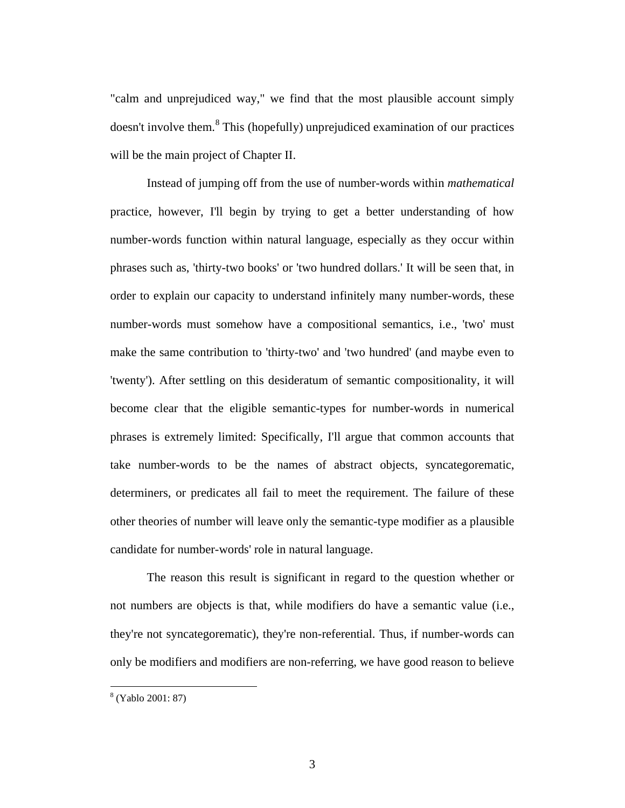"calm and unprejudiced way," we find that the most plausible account simply doesn't involve them.<sup>8</sup> This (hopefully) unprejudiced examination of our practices will be the main project of Chapter II.

Instead of jumping off from the use of number-words within *mathematical* practice, however, I'll begin by trying to get a better understanding of how number-words function within natural language, especially as they occur within phrases such as, 'thirty-two books' or 'two hundred dollars.' It will be seen that, in order to explain our capacity to understand infinitely many number-words, these number-words must somehow have a compositional semantics, i.e., 'two' must make the same contribution to 'thirty-two' and 'two hundred' (and maybe even to 'twenty'). After settling on this desideratum of semantic compositionality, it will become clear that the eligible semantic-types for number-words in numerical phrases is extremely limited: Specifically, I'll argue that common accounts that take number-words to be the names of abstract objects, syncategorematic, determiners, or predicates all fail to meet the requirement. The failure of these other theories of number will leave only the semantic-type modifier as a plausible candidate for number-words' role in natural language.

The reason this result is significant in regard to the question whether or not numbers are objects is that, while modifiers do have a semantic value (i.e., they're not syncategorematic), they're non-referential. Thus, if number-words can only be modifiers and modifiers are non-referring, we have good reason to believe

<sup>8</sup> (Yablo 2001: 87)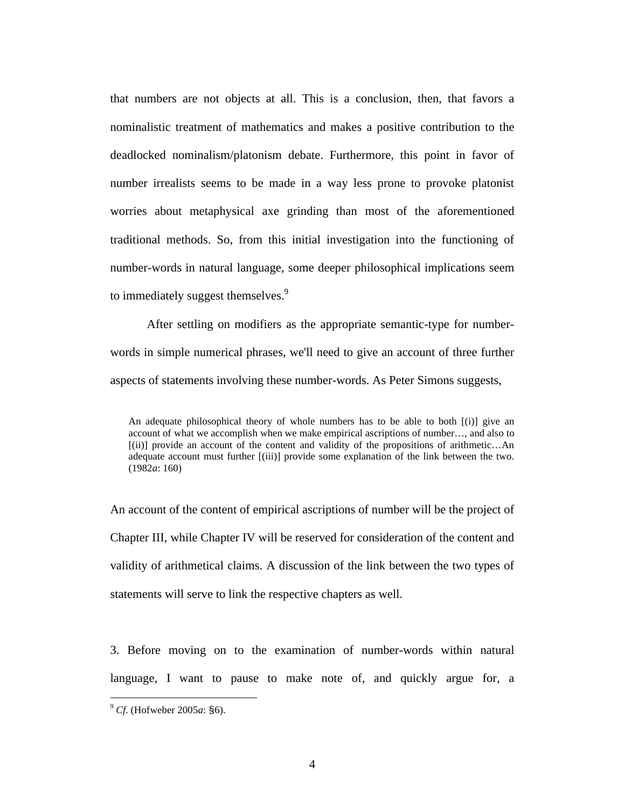that numbers are not objects at all. This is a conclusion, then, that favors a nominalistic treatment of mathematics and makes a positive contribution to the deadlocked nominalism/platonism debate. Furthermore, this point in favor of number irrealists seems to be made in a way less prone to provoke platonist worries about metaphysical axe grinding than most of the aforementioned traditional methods. So, from this initial investigation into the functioning of number-words in natural language, some deeper philosophical implications seem to immediately suggest themselves.<sup>9</sup>

After settling on modifiers as the appropriate semantic-type for numberwords in simple numerical phrases, we'll need to give an account of three further aspects of statements involving these number-words. As Peter Simons suggests,

An account of the content of empirical ascriptions of number will be the project of Chapter III, while Chapter IV will be reserved for consideration of the content and validity of arithmetical claims. A discussion of the link between the two types of statements will serve to link the respective chapters as well.

3. Before moving on to the examination of number-words within natural language, I want to pause to make note of, and quickly argue for, a

An adequate philosophical theory of whole numbers has to be able to both [(i)] give an account of what we accomplish when we make empirical ascriptions of number…, and also to [(ii)] provide an account of the content and validity of the propositions of arithmetic…An adequate account must further [(iii)] provide some explanation of the link between the two. (1982*a*: 160)

<sup>9</sup> *Cf*. (Hofweber 2005*a*: §6).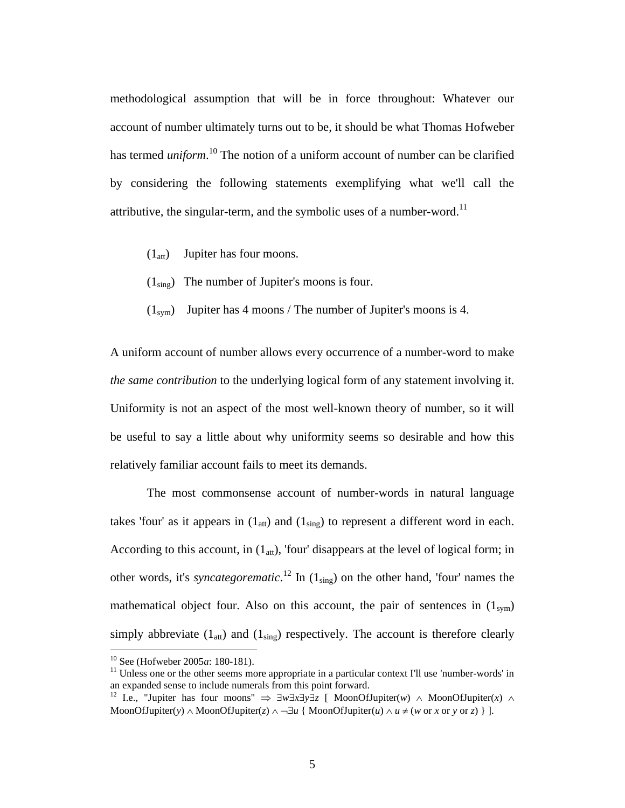methodological assumption that will be in force throughout: Whatever our account of number ultimately turns out to be, it should be what Thomas Hofweber has termed *uniform*. 10 The notion of a uniform account of number can be clarified by considering the following statements exemplifying what we'll call the attributive, the singular-term, and the symbolic uses of a number-word.<sup>11</sup>

- $(1<sub>att</sub>)$  Jupiter has four moons.
- $(1_{\text{sing}})$  The number of Jupiter's moons is four.
- $(1_{sym})$  Jupiter has 4 moons / The number of Jupiter's moons is 4.

A uniform account of number allows every occurrence of a number-word to make *the same contribution* to the underlying logical form of any statement involving it. Uniformity is not an aspect of the most well-known theory of number, so it will be useful to say a little about why uniformity seems so desirable and how this relatively familiar account fails to meet its demands.

The most commonsense account of number-words in natural language takes 'four' as it appears in  $(1_{\text{att}})$  and  $(1_{\text{sing}})$  to represent a different word in each. According to this account, in  $(1_{\text{att}})$ , 'four' disappears at the level of logical form; in other words, it's *syncategorematic*. <sup>12</sup> In (1sing) on the other hand, 'four' names the mathematical object four. Also on this account, the pair of sentences in  $(1_{sym})$ simply abbreviate  $(1_{\text{att}})$  and  $(1_{\text{sing}})$  respectively. The account is therefore clearly

1

<sup>&</sup>lt;sup>10</sup> See (Hofweber 2005*a*: 180-181).<br><sup>11</sup> Unless one or the other seems more appropriate in a particular context I'll use 'number-words' in an expanded sense to include numerals from this point forward.

<sup>&</sup>lt;sup>12</sup> I.e., "Jupiter has four moons"  $\Rightarrow \exists w\exists x\exists y\exists z \in M$ oonOfJupiter(*w*)  $\land M$ oonOfJupiter(*x*)  $\land$ MoonOfJupiter(*y*)  $\land$  MoonOfJupiter(*z*)  $\land \neg \exists u \{ \text{MoonOfJupiter}(u) \land u \neq (w \text{ or } x \text{ or } y \text{ or } z) \}$ ].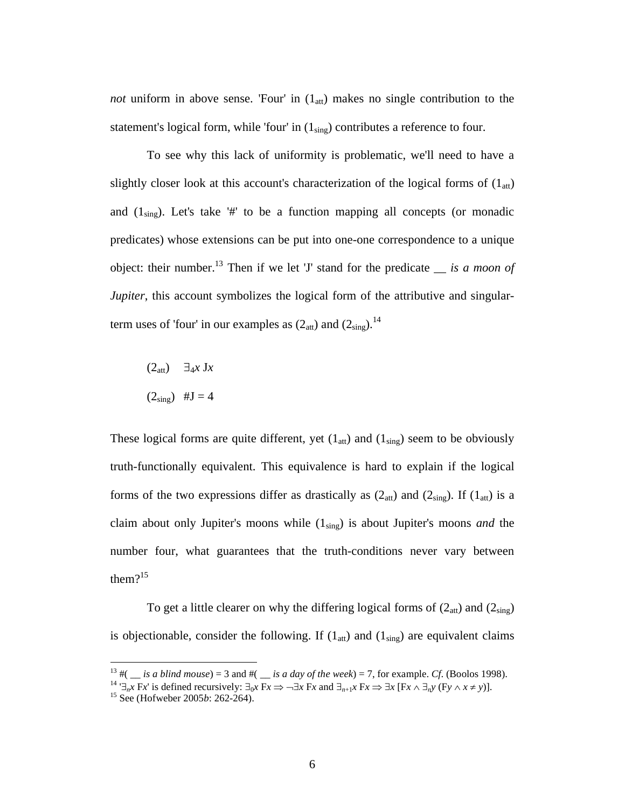*not* uniform in above sense. 'Four' in  $(1<sub>att</sub>)$  makes no single contribution to the statement's logical form, while 'four' in  $(1_{sing})$  contributes a reference to four.

To see why this lack of uniformity is problematic, we'll need to have a slightly closer look at this account's characterization of the logical forms of  $(1_{\text{att}})$ and  $(1_{sing})$ . Let's take '#' to be a function mapping all concepts (or monadic predicates) whose extensions can be put into one-one correspondence to a unique object: their number.<sup>13</sup> Then if we let 'J' stand for the predicate  $\equiv$  *is a moon of Jupiter*, this account symbolizes the logical form of the attributive and singularterm uses of 'four' in our examples as  $(2<sub>att</sub>)$  and  $(2<sub>sing</sub>)$ .<sup>14</sup>

 $(2_{\text{att}})$   $\exists_{4}$ *x* J*x*  $(2_{\rm sing})$  #J = 4

These logical forms are quite different, yet  $(1_{\text{att}})$  and  $(1_{\text{sing}})$  seem to be obviously truth-functionally equivalent. This equivalence is hard to explain if the logical forms of the two expressions differ as drastically as  $(2_{\text{att}})$  and  $(2_{\text{sing}})$ . If  $(1_{\text{att}})$  is a claim about only Jupiter's moons while (1sing) is about Jupiter's moons *and* the number four, what guarantees that the truth-conditions never vary between them $?^{15}$ 

To get a little clearer on why the differing logical forms of  $(2_{\text{att}})$  and  $(2_{\text{sing}})$ is objectionable, consider the following. If  $(1_{\text{att}})$  and  $(1_{\text{sing}})$  are equivalent claims

<sup>&</sup>lt;sup>13</sup> #(  $\equiv$  *is a blind mouse*) = 3 and #(  $\equiv$  *is a day of the week*) = 7, for example. *Cf*. (Boolos 1998).

<sup>&</sup>lt;sup>14</sup>  $\exists_n x$  Fx' is defined recursively:  $\exists_0 x$  Fx  $\Rightarrow$   $\neg \exists x$  Fx and  $\exists_{n+1} x$  Fx  $\Rightarrow$   $\exists x$  [Fx  $\land \exists_n y$  (Fy  $\land x \neq y$ )].<br><sup>15</sup> See (Hofweber 2005*b*: 262-264).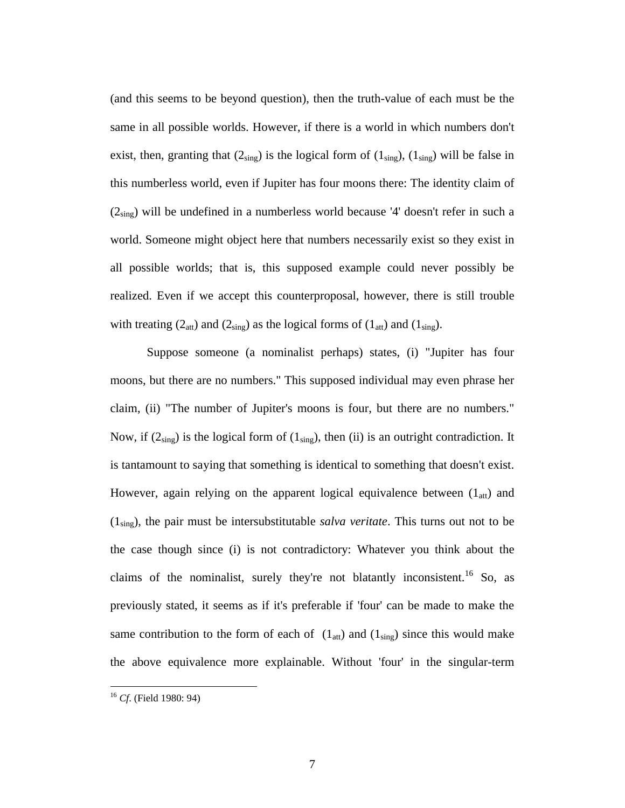(and this seems to be beyond question), then the truth-value of each must be the same in all possible worlds. However, if there is a world in which numbers don't exist, then, granting that  $(2_{sing})$  is the logical form of  $(1_{sing})$ ,  $(1_{sing})$  will be false in this numberless world, even if Jupiter has four moons there: The identity claim of  $(2_{sing})$  will be undefined in a numberless world because '4' doesn't refer in such a world. Someone might object here that numbers necessarily exist so they exist in all possible worlds; that is, this supposed example could never possibly be realized. Even if we accept this counterproposal, however, there is still trouble with treating  $(2_{\text{att}})$  and  $(2_{\text{sing}})$  as the logical forms of  $(1_{\text{att}})$  and  $(1_{\text{sing}})$ .

Suppose someone (a nominalist perhaps) states, (i) "Jupiter has four moons, but there are no numbers." This supposed individual may even phrase her claim, (ii) "The number of Jupiter's moons is four, but there are no numbers." Now, if  $(2_{sing})$  is the logical form of  $(1_{sing})$ , then (ii) is an outright contradiction. It is tantamount to saying that something is identical to something that doesn't exist. However, again relying on the apparent logical equivalence between  $(1_{\text{att}})$  and (1sing), the pair must be intersubstitutable *salva veritate*. This turns out not to be the case though since (i) is not contradictory: Whatever you think about the claims of the nominalist, surely they're not blatantly inconsistent.<sup>16</sup> So, as previously stated, it seems as if it's preferable if 'four' can be made to make the same contribution to the form of each of  $(1_{\text{att}})$  and  $(1_{\text{sing}})$  since this would make the above equivalence more explainable. Without 'four' in the singular-term

1

<sup>16</sup> *Cf*. (Field 1980: 94)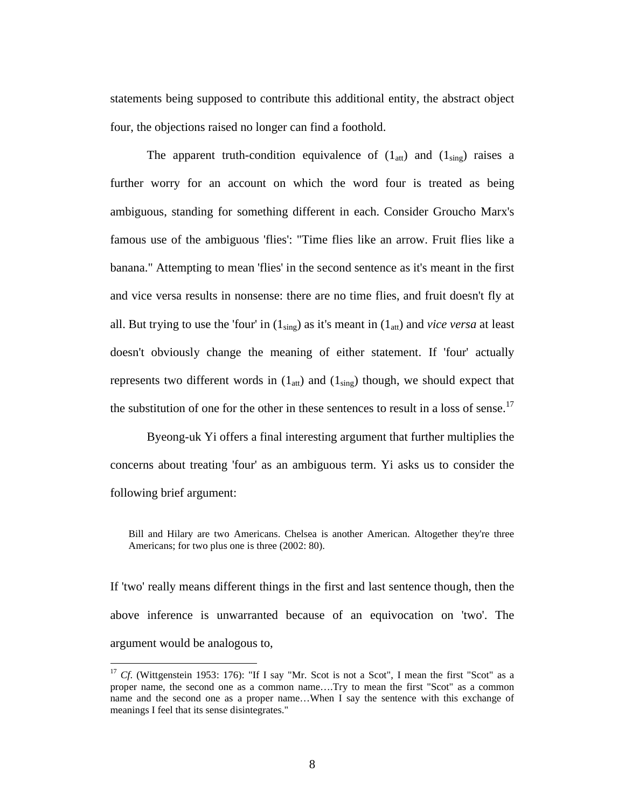statements being supposed to contribute this additional entity, the abstract object four, the objections raised no longer can find a foothold.

The apparent truth-condition equivalence of  $(1_{\text{att}})$  and  $(1_{\text{sing}})$  raises a further worry for an account on which the word four is treated as being ambiguous, standing for something different in each. Consider Groucho Marx's famous use of the ambiguous 'flies': "Time flies like an arrow. Fruit flies like a banana." Attempting to mean 'flies' in the second sentence as it's meant in the first and vice versa results in nonsense: there are no time flies, and fruit doesn't fly at all. But trying to use the 'four' in  $(1_{sing})$  as it's meant in  $(1_{att})$  and *vice versa* at least doesn't obviously change the meaning of either statement. If 'four' actually represents two different words in  $(1_{\text{att}})$  and  $(1_{\text{sing}})$  though, we should expect that the substitution of one for the other in these sentences to result in a loss of sense.<sup>17</sup>

Byeong-uk Yi offers a final interesting argument that further multiplies the concerns about treating 'four' as an ambiguous term. Yi asks us to consider the following brief argument:

Bill and Hilary are two Americans. Chelsea is another American. Altogether they're three Americans; for two plus one is three (2002: 80).

If 'two' really means different things in the first and last sentence though, then the above inference is unwarranted because of an equivocation on 'two'. The argument would be analogous to,

<sup>&</sup>lt;sup>17</sup> *Cf.* (Wittgenstein 1953: 176): "If I say "Mr. Scot is not a Scot", I mean the first "Scot" as a proper name, the second one as a common name….Try to mean the first "Scot" as a common name and the second one as a proper name…When I say the sentence with this exchange of meanings I feel that its sense disintegrates."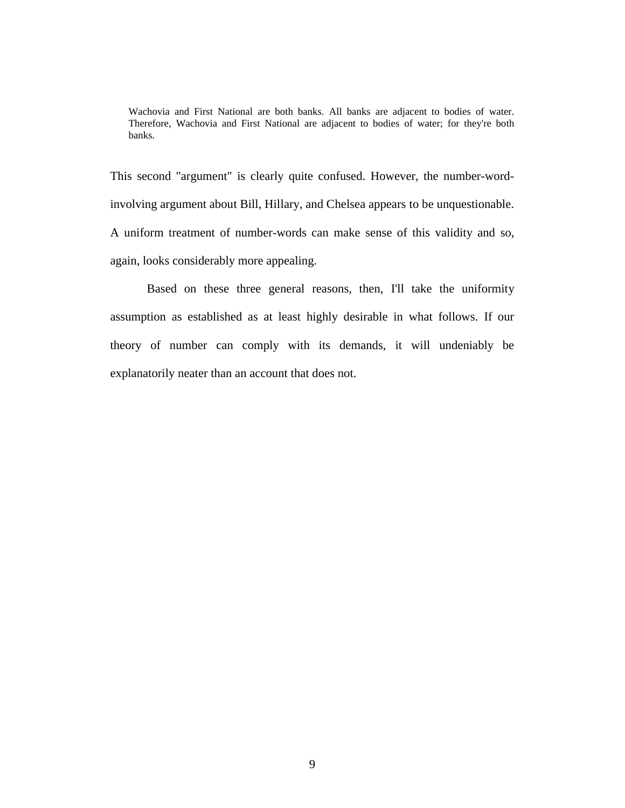Wachovia and First National are both banks. All banks are adjacent to bodies of water. Therefore, Wachovia and First National are adjacent to bodies of water; for they're both banks.

This second "argument" is clearly quite confused. However, the number-wordinvolving argument about Bill, Hillary, and Chelsea appears to be unquestionable. A uniform treatment of number-words can make sense of this validity and so, again, looks considerably more appealing.

Based on these three general reasons, then, I'll take the uniformity assumption as established as at least highly desirable in what follows. If our theory of number can comply with its demands, it will undeniably be explanatorily neater than an account that does not.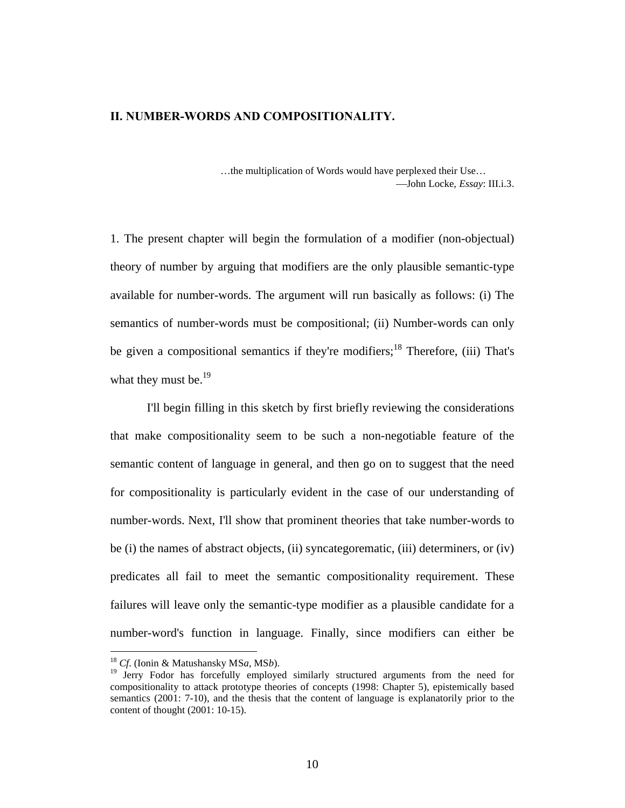#### **II. NUMBER-WORDS AND COMPOSITIONALITY.**

…the multiplication of Words would have perplexed their Use… John Locke, *Essay*: III.i.3.

1. The present chapter will begin the formulation of a modifier (non-objectual) theory of number by arguing that modifiers are the only plausible semantic-type available for number-words. The argument will run basically as follows: (i) The semantics of number-words must be compositional; (ii) Number-words can only be given a compositional semantics if they're modifiers;<sup>18</sup> Therefore, (iii) That's what they must be. $^{19}$ 

I'll begin filling in this sketch by first briefly reviewing the considerations that make compositionality seem to be such a non-negotiable feature of the semantic content of language in general, and then go on to suggest that the need for compositionality is particularly evident in the case of our understanding of number-words. Next, I'll show that prominent theories that take number-words to be (i) the names of abstract objects, (ii) syncategorematic, (iii) determiners, or (iv) predicates all fail to meet the semantic compositionality requirement. These failures will leave only the semantic-type modifier as a plausible candidate for a number-word's function in language. Finally, since modifiers can either be

<sup>18</sup> *Cf*. (Ionin & Matushansky MS*a*, MS*b*).

<sup>&</sup>lt;sup>19</sup> Jerry Fodor has forcefully employed similarly structured arguments from the need for compositionality to attack prototype theories of concepts (1998: Chapter 5), epistemically based semantics (2001: 7-10), and the thesis that the content of language is explanatorily prior to the content of thought (2001: 10-15).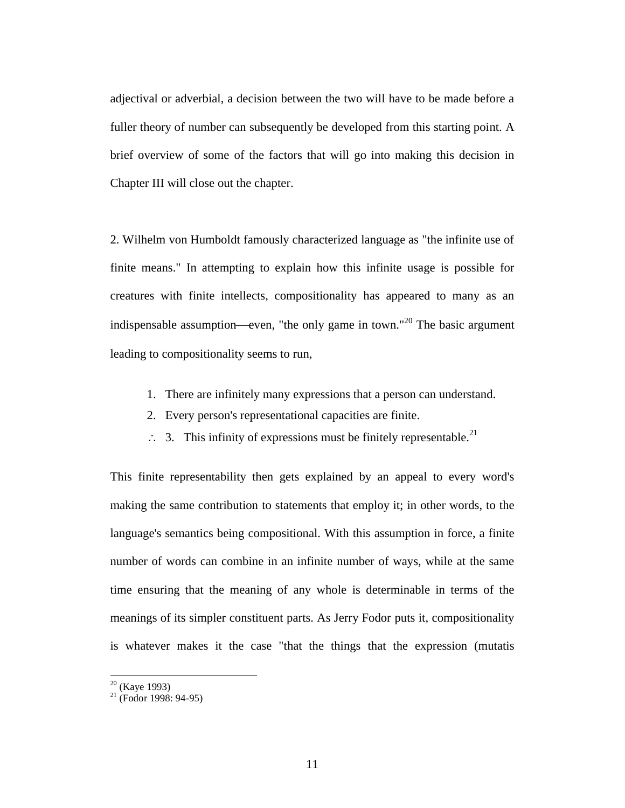adjectival or adverbial, a decision between the two will have to be made before a fuller theory of number can subsequently be developed from this starting point. A brief overview of some of the factors that will go into making this decision in Chapter III will close out the chapter.

2. Wilhelm von Humboldt famously characterized language as "the infinite use of finite means." In attempting to explain how this infinite usage is possible for creatures with finite intellects, compositionality has appeared to many as an indispensable assumption—even, "the only game in town."<sup>20</sup> The basic argument leading to compositionality seems to run,

- 1. There are infinitely many expressions that a person can understand.
- 2. Every person's representational capacities are finite.
- $\therefore$  3. This infinity of expressions must be finitely representable.<sup>21</sup>

This finite representability then gets explained by an appeal to every word's making the same contribution to statements that employ it; in other words, to the language's semantics being compositional. With this assumption in force, a finite number of words can combine in an infinite number of ways, while at the same time ensuring that the meaning of any whole is determinable in terms of the meanings of its simpler constituent parts. As Jerry Fodor puts it, compositionality is whatever makes it the case "that the things that the expression (mutatis

 $20$  (Kaye 1993)

 $^{21}$  (Fodor 1998: 94-95)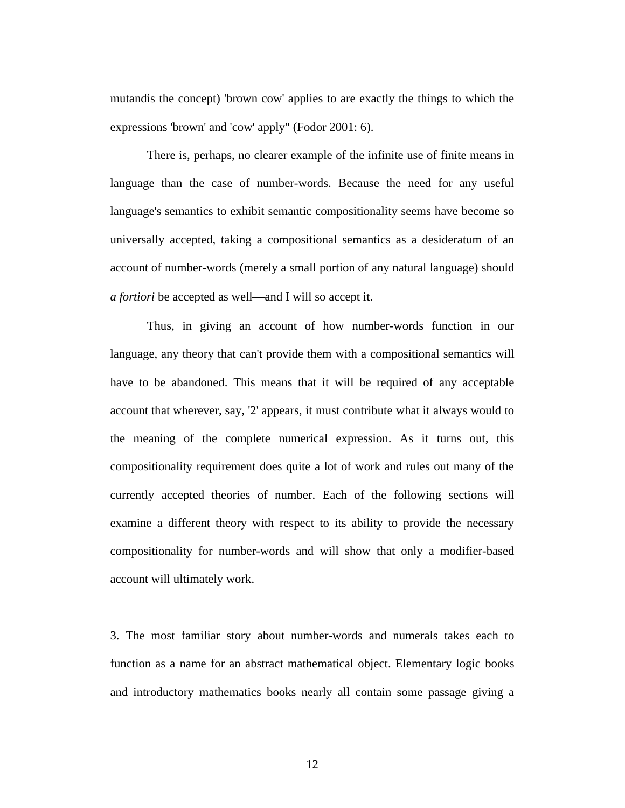mutandis the concept) 'brown cow' applies to are exactly the things to which the expressions 'brown' and 'cow' apply" (Fodor 2001: 6).

There is, perhaps, no clearer example of the infinite use of finite means in language than the case of number-words. Because the need for any useful language's semantics to exhibit semantic compositionality seems have become so universally accepted, taking a compositional semantics as a desideratum of an account of number-words (merely a small portion of any natural language) should *a fortiori* be accepted as well—and I will so accept it.

Thus, in giving an account of how number-words function in our language, any theory that can't provide them with a compositional semantics will have to be abandoned. This means that it will be required of any acceptable account that wherever, say, '2' appears, it must contribute what it always would to the meaning of the complete numerical expression. As it turns out, this compositionality requirement does quite a lot of work and rules out many of the currently accepted theories of number. Each of the following sections will examine a different theory with respect to its ability to provide the necessary compositionality for number-words and will show that only a modifier-based account will ultimately work.

3. The most familiar story about number-words and numerals takes each to function as a name for an abstract mathematical object. Elementary logic books and introductory mathematics books nearly all contain some passage giving a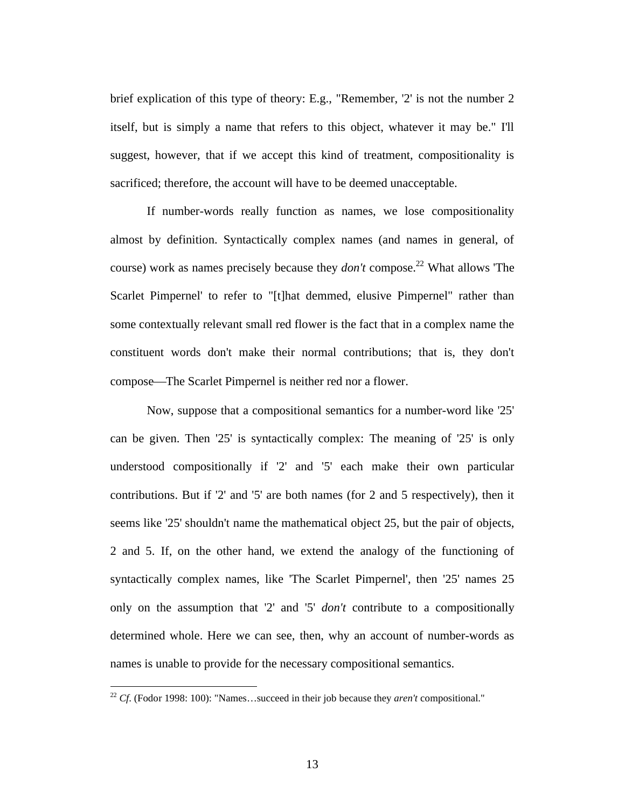brief explication of this type of theory: E.g., "Remember, '2' is not the number 2 itself, but is simply a name that refers to this object, whatever it may be." I'll suggest, however, that if we accept this kind of treatment, compositionality is sacrificed; therefore, the account will have to be deemed unacceptable.

If number-words really function as names, we lose compositionality almost by definition. Syntactically complex names (and names in general, of course) work as names precisely because they *don't* compose. 22 What allows 'The Scarlet Pimpernel' to refer to "[t]hat demmed, elusive Pimpernel" rather than some contextually relevant small red flower is the fact that in a complex name the constituent words don't make their normal contributions; that is, they don't compose—The Scarlet Pimpernel is neither red nor a flower.

Now, suppose that a compositional semantics for a number-word like '25' can be given. Then '25' is syntactically complex: The meaning of '25' is only understood compositionally if '2' and '5' each make their own particular contributions. But if '2' and '5' are both names (for 2 and 5 respectively), then it seems like '25' shouldn't name the mathematical object 25, but the pair of objects, 2 and 5. If, on the other hand, we extend the analogy of the functioning of syntactically complex names, like 'The Scarlet Pimpernel', then '25' names 25 only on the assumption that '2' and '5' *don't* contribute to a compositionally determined whole. Here we can see, then, why an account of number-words as names is unable to provide for the necessary compositional semantics.

<sup>22</sup> *Cf*. (Fodor 1998: 100): "Names…succeed in their job because they *aren't* compositional."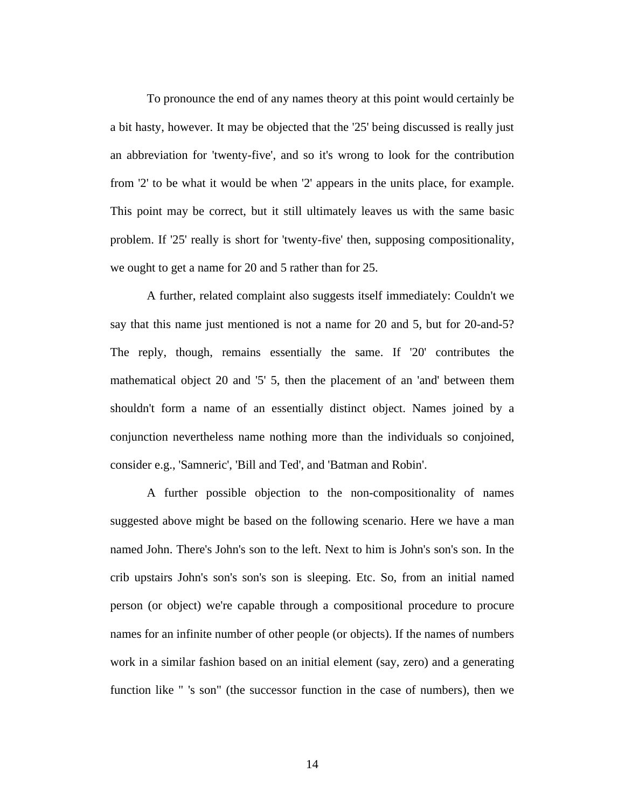To pronounce the end of any names theory at this point would certainly be a bit hasty, however. It may be objected that the '25' being discussed is really just an abbreviation for 'twenty-five', and so it's wrong to look for the contribution from '2' to be what it would be when '2' appears in the units place, for example. This point may be correct, but it still ultimately leaves us with the same basic problem. If '25' really is short for 'twenty-five' then, supposing compositionality, we ought to get a name for 20 and 5 rather than for 25.

A further, related complaint also suggests itself immediately: Couldn't we say that this name just mentioned is not a name for 20 and 5, but for 20-and-5? The reply, though, remains essentially the same. If '20' contributes the mathematical object 20 and '5' 5, then the placement of an 'and' between them shouldn't form a name of an essentially distinct object. Names joined by a conjunction nevertheless name nothing more than the individuals so conjoined, consider e.g., 'Samneric', 'Bill and Ted', and 'Batman and Robin'.

A further possible objection to the non-compositionality of names suggested above might be based on the following scenario. Here we have a man named John. There's John's son to the left. Next to him is John's son's son. In the crib upstairs John's son's son's son is sleeping. Etc. So, from an initial named person (or object) we're capable through a compositional procedure to procure names for an infinite number of other people (or objects). If the names of numbers work in a similar fashion based on an initial element (say, zero) and a generating function like " 's son" (the successor function in the case of numbers), then we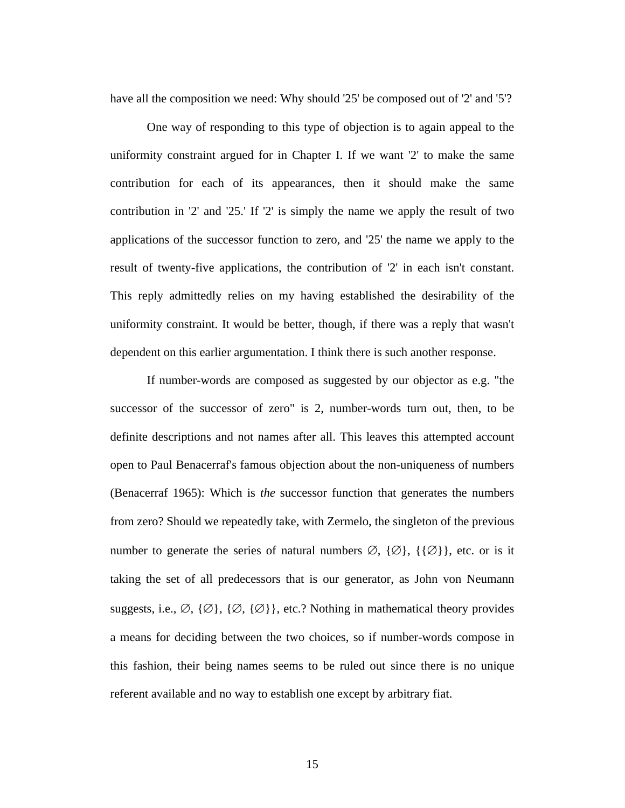have all the composition we need: Why should '25' be composed out of '2' and '5'?

One way of responding to this type of objection is to again appeal to the uniformity constraint argued for in Chapter I. If we want '2' to make the same contribution for each of its appearances, then it should make the same contribution in '2' and '25.' If '2' is simply the name we apply the result of two applications of the successor function to zero, and '25' the name we apply to the result of twenty-five applications, the contribution of '2' in each isn't constant. This reply admittedly relies on my having established the desirability of the uniformity constraint. It would be better, though, if there was a reply that wasn't dependent on this earlier argumentation. I think there is such another response.

If number-words are composed as suggested by our objector as e.g. "the successor of the successor of zero" is 2, number-words turn out, then, to be definite descriptions and not names after all. This leaves this attempted account open to Paul Benacerraf's famous objection about the non-uniqueness of numbers (Benacerraf 1965): Which is *the* successor function that generates the numbers from zero? Should we repeatedly take, with Zermelo, the singleton of the previous number to generate the series of natural numbers  $\emptyset$ ,  $\{\emptyset\}$ ,  $\{\{\emptyset\}\}\$ , etc. or is it taking the set of all predecessors that is our generator, as John von Neumann suggests, i.e.,  $\emptyset$ ,  $\{\emptyset\}$ ,  $\{\emptyset\}$ , etc.? Nothing in mathematical theory provides a means for deciding between the two choices, so if number-words compose in this fashion, their being names seems to be ruled out since there is no unique referent available and no way to establish one except by arbitrary fiat.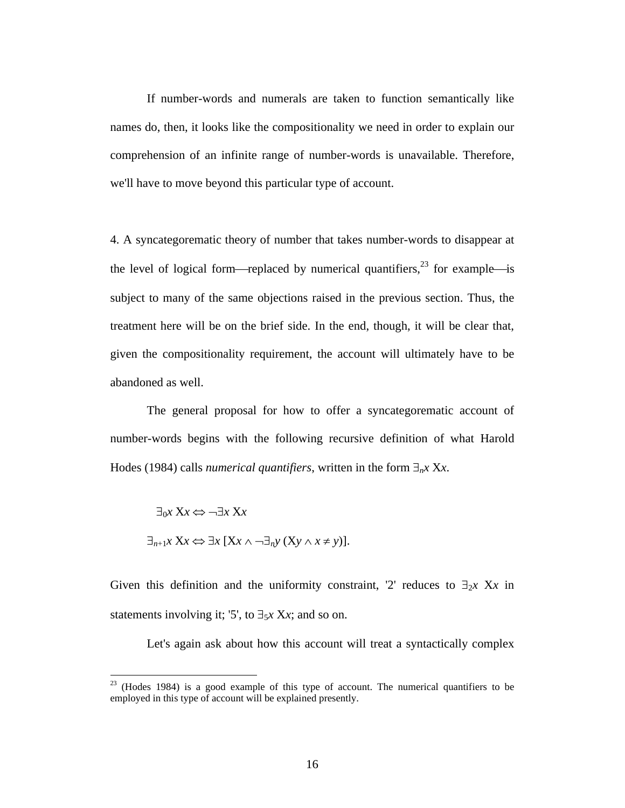If number-words and numerals are taken to function semantically like names do, then, it looks like the compositionality we need in order to explain our comprehension of an infinite range of number-words is unavailable. Therefore, we'll have to move beyond this particular type of account.

4. A syncategorematic theory of number that takes number-words to disappear at the level of logical form—replaced by numerical quantifiers,<sup>23</sup> for example—is subject to many of the same objections raised in the previous section. Thus, the treatment here will be on the brief side. In the end, though, it will be clear that, given the compositionality requirement, the account will ultimately have to be abandoned as well.

The general proposal for how to offer a syncategorematic account of number-words begins with the following recursive definition of what Harold Hodes (1984) calls *numerical quantifiers*, written in the form  $\exists_{n} x Xx$ .

$$
\exists_0 x \ Xx \Leftrightarrow \neg \exists x \ Xx
$$
  

$$
\exists_{n+1} x \ Xx \Leftrightarrow \exists x \ [Xx \land \neg \exists_n y \ (Xy \land x \neq y)].
$$

 $\overline{a}$ 

Given this definition and the uniformity constraint, '2' reduces to  $\exists_2 x$  Xx in statements involving it; '5', to  $\exists_5 x$  X*x*; and so on.

Let's again ask about how this account will treat a syntactically complex

 $23$  (Hodes 1984) is a good example of this type of account. The numerical quantifiers to be employed in this type of account will be explained presently.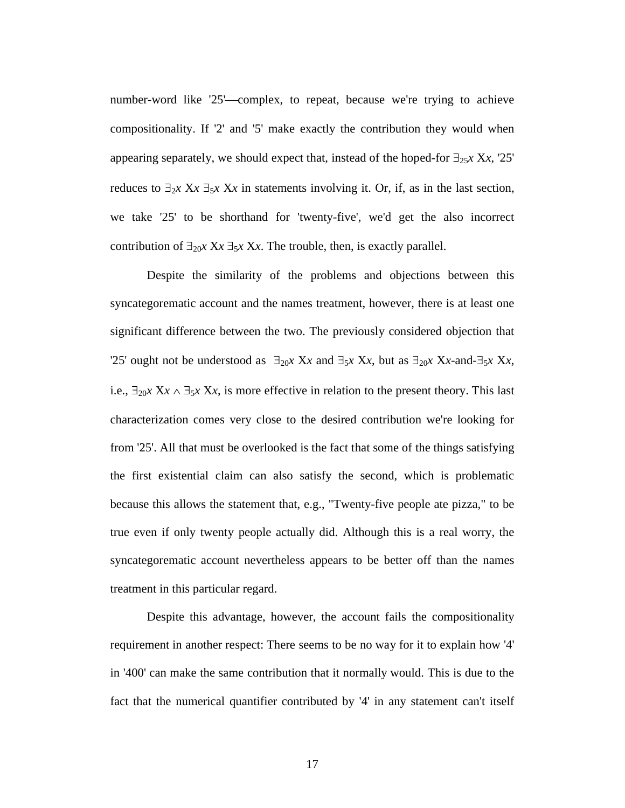number-word like '25'—complex, to repeat, because we're trying to achieve compositionality. If '2' and '5' make exactly the contribution they would when appearing separately, we should expect that, instead of the hoped-for  $\exists_{25}$ *x* X*x*, '25' reduces to  $\exists_2 x$  X $x$   $\exists_5 x$  X $x$  in statements involving it. Or, if, as in the last section, we take '25' to be shorthand for 'twenty-five', we'd get the also incorrect contribution of  $\exists_{20}$ *x* X*x*  $\exists_{5}$ *x* X*x*. The trouble, then, is exactly parallel.

Despite the similarity of the problems and objections between this syncategorematic account and the names treatment, however, there is at least one significant difference between the two. The previously considered objection that '25' ought not be understood as  $\exists_{20}$ *x* X*x* and  $\exists_{5}$ *x* X*x*, but as  $\exists_{20}$ *x* X*x*-and- $\exists_{5}$ *x* X*x*, i.e.,  $\exists_{20}$ *x*  $Xx \wedge \exists_5$ *x*  $Xx$ , is more effective in relation to the present theory. This last characterization comes very close to the desired contribution we're looking for from '25'. All that must be overlooked is the fact that some of the things satisfying the first existential claim can also satisfy the second, which is problematic because this allows the statement that, e.g., "Twenty-five people ate pizza," to be true even if only twenty people actually did. Although this is a real worry, the syncategorematic account nevertheless appears to be better off than the names treatment in this particular regard.

Despite this advantage, however, the account fails the compositionality requirement in another respect: There seems to be no way for it to explain how '4' in '400' can make the same contribution that it normally would. This is due to the fact that the numerical quantifier contributed by '4' in any statement can't itself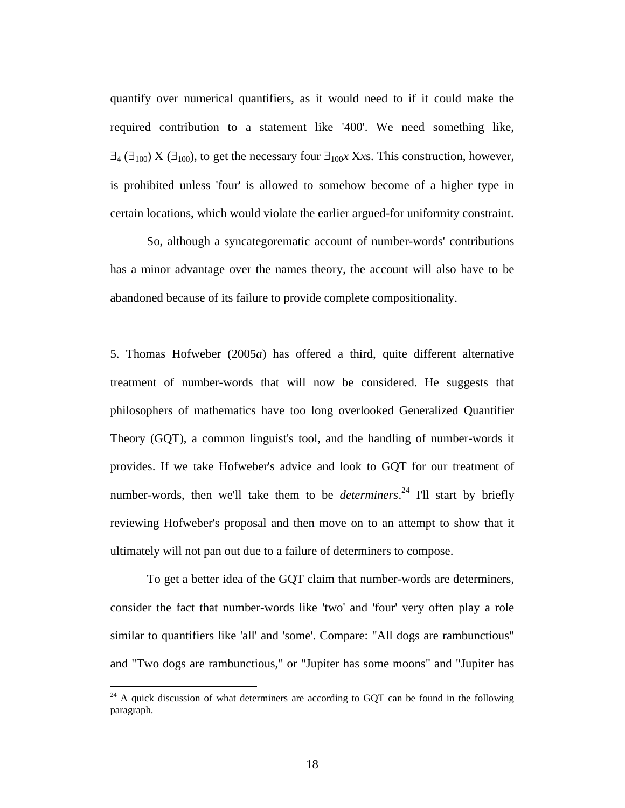quantify over numerical quantifiers, as it would need to if it could make the required contribution to a statement like '400'. We need something like,  $\exists$ 4 ( $\exists$ <sub>100</sub>) X ( $\exists$ <sub>100</sub>), to get the necessary four  $\exists$ <sub>100</sub>*x* X*x*s. This construction, however, is prohibited unless 'four' is allowed to somehow become of a higher type in certain locations, which would violate the earlier argued-for uniformity constraint.

So, although a syncategorematic account of number-words' contributions has a minor advantage over the names theory, the account will also have to be abandoned because of its failure to provide complete compositionality.

5. Thomas Hofweber (2005*a*) has offered a third, quite different alternative treatment of number-words that will now be considered. He suggests that philosophers of mathematics have too long overlooked Generalized Quantifier Theory (GQT), a common linguist's tool, and the handling of number-words it provides. If we take Hofweber's advice and look to GQT for our treatment of number-words, then we'll take them to be *determiners*. 24 I'll start by briefly reviewing Hofweber's proposal and then move on to an attempt to show that it ultimately will not pan out due to a failure of determiners to compose.

To get a better idea of the GQT claim that number-words are determiners, consider the fact that number-words like 'two' and 'four' very often play a role similar to quantifiers like 'all' and 'some'. Compare: "All dogs are rambunctious" and "Two dogs are rambunctious," or "Jupiter has some moons" and "Jupiter has

 $24$  A quick discussion of what determiners are according to GQT can be found in the following paragraph.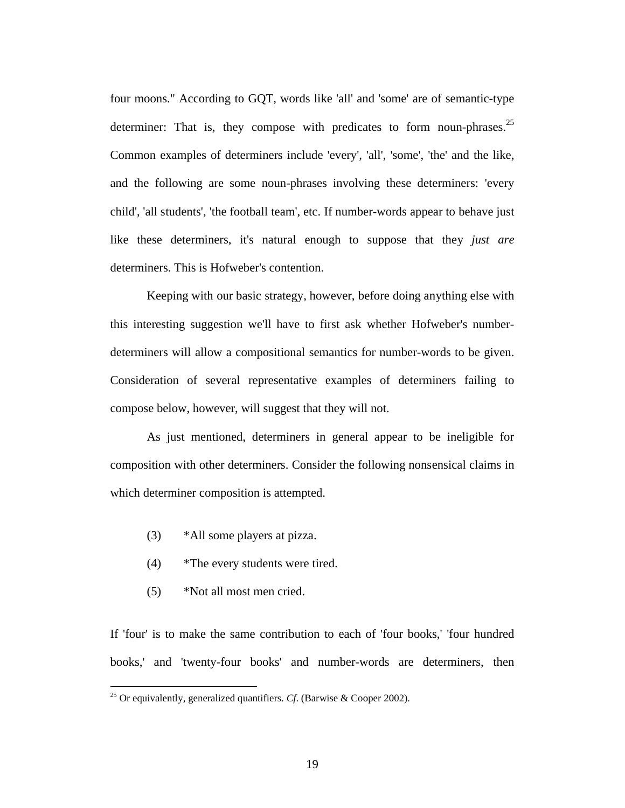four moons." According to GQT, words like 'all' and 'some' are of semantic-type determiner: That is, they compose with predicates to form noun-phrases.<sup>25</sup> Common examples of determiners include 'every', 'all', 'some', 'the' and the like, and the following are some noun-phrases involving these determiners: 'every child', 'all students', 'the football team', etc. If number-words appear to behave just like these determiners, it's natural enough to suppose that they *just are* determiners. This is Hofweber's contention.

Keeping with our basic strategy, however, before doing anything else with this interesting suggestion we'll have to first ask whether Hofweber's numberdeterminers will allow a compositional semantics for number-words to be given. Consideration of several representative examples of determiners failing to compose below, however, will suggest that they will not.

As just mentioned, determiners in general appear to be ineligible for composition with other determiners. Consider the following nonsensical claims in which determiner composition is attempted.

- (3) \*All some players at pizza.
- (4) \*The every students were tired.
- (5) \*Not all most men cried.

 $\overline{a}$ 

If 'four' is to make the same contribution to each of 'four books,' 'four hundred books,' and 'twenty-four books' and number-words are determiners, then

<sup>&</sup>lt;sup>25</sup> Or equivalently, generalized quantifiers. *Cf.* (Barwise & Cooper 2002).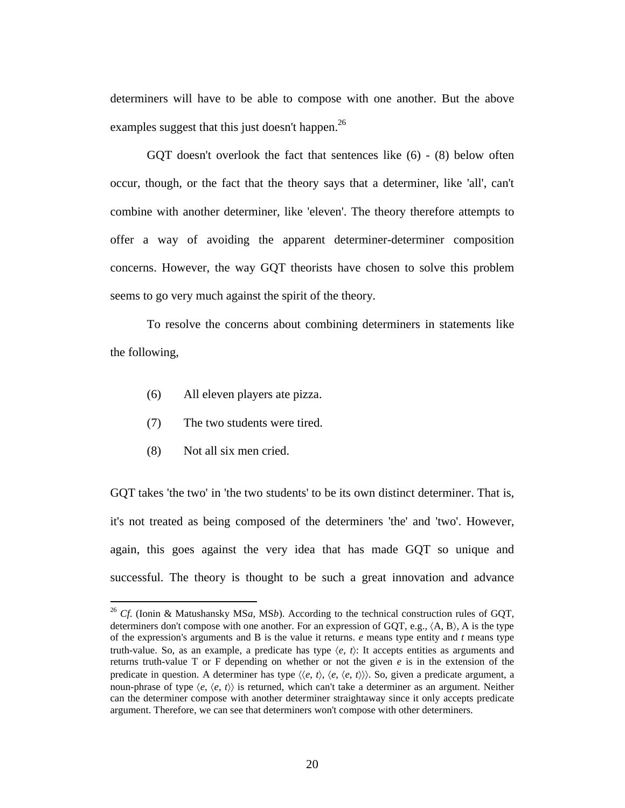determiners will have to be able to compose with one another. But the above examples suggest that this just doesn't happen.<sup>26</sup>

GQT doesn't overlook the fact that sentences like (6) - (8) below often occur, though, or the fact that the theory says that a determiner, like 'all', can't combine with another determiner, like 'eleven'. The theory therefore attempts to offer a way of avoiding the apparent determiner-determiner composition concerns. However, the way GQT theorists have chosen to solve this problem seems to go very much against the spirit of the theory.

To resolve the concerns about combining determiners in statements like the following,

- (6) All eleven players ate pizza.
- (7) The two students were tired.
- (8) Not all six men cried.

 $\overline{a}$ 

GQT takes 'the two' in 'the two students' to be its own distinct determiner. That is, it's not treated as being composed of the determiners 'the' and 'two'. However, again, this goes against the very idea that has made GQT so unique and successful. The theory is thought to be such a great innovation and advance

<sup>26</sup> *Cf*. (Ionin & Matushansky MS*a*, MS*b*). According to the technical construction rules of GQT, determiners don't compose with one another. For an expression of GOT, e.g.,  $\langle A, B \rangle$ , A is the type of the expression's arguments and B is the value it returns. *e* means type entity and *t* means type truth-value. So, as an example, a predicate has type  $\langle e, t \rangle$ : It accepts entities as arguments and returns truth-value T or F depending on whether or not the given  $e$  is in the extension of the predicate in question. A determiner has type  $\langle\langle e, t \rangle, \langle e, \langle e, t \rangle \rangle\rangle$ . So, given a predicate argument, a noun-phrase of type  $\langle e, \langle e, t \rangle \rangle$  is returned, which can't take a determiner as an argument. Neither can the determiner compose with another determiner straightaway since it only accepts predicate argument. Therefore, we can see that determiners won't compose with other determiners.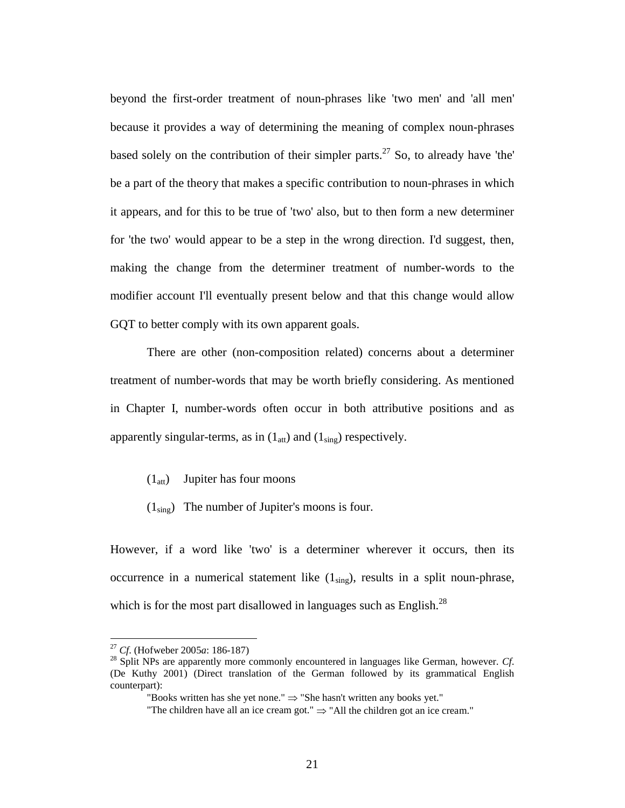beyond the first-order treatment of noun-phrases like 'two men' and 'all men' because it provides a way of determining the meaning of complex noun-phrases based solely on the contribution of their simpler parts.<sup>27</sup> So, to already have 'the' be a part of the theory that makes a specific contribution to noun-phrases in which it appears, and for this to be true of 'two' also, but to then form a new determiner for 'the two' would appear to be a step in the wrong direction. I'd suggest, then, making the change from the determiner treatment of number-words to the modifier account I'll eventually present below and that this change would allow GQT to better comply with its own apparent goals.

There are other (non-composition related) concerns about a determiner treatment of number-words that may be worth briefly considering. As mentioned in Chapter I, number-words often occur in both attributive positions and as apparently singular-terms, as in  $(1_{\text{att}})$  and  $(1_{\text{sing}})$  respectively.

- $(1<sub>att</sub>)$  Jupiter has four moons
- $(1_{\text{sing}})$  The number of Jupiter's moons is four.

However, if a word like 'two' is a determiner wherever it occurs, then its occurrence in a numerical statement like  $(1_{\text{sing}})$ , results in a split noun-phrase, which is for the most part disallowed in languages such as English.<sup>28</sup>

<sup>&</sup>lt;sup>27</sup> Cf. (Hofweber 2005a: 186-187)

 $^{28}$  Split NPs are apparently more commonly encountered in languages like German, however. *Cf*. (De Kuthy 2001) (Direct translation of the German followed by its grammatical English counterpart):

<sup>&</sup>quot;Books written has she yet none."  $\Rightarrow$  "She hasn't written any books yet."

<sup>&</sup>quot;The children have all an ice cream got."  $\Rightarrow$  "All the children got an ice cream."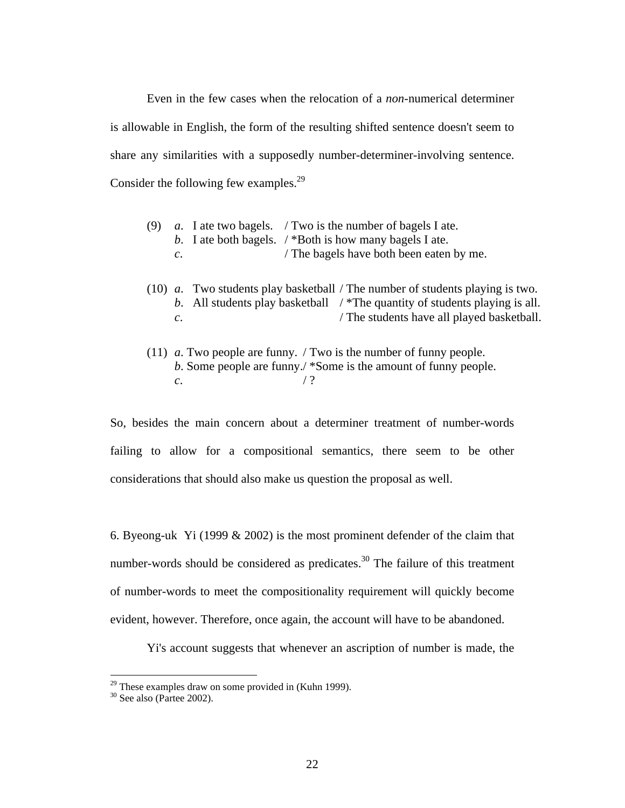Even in the few cases when the relocation of a *non*-numerical determiner is allowable in English, the form of the resulting shifted sentence doesn't seem to share any similarities with a supposedly number-determiner-involving sentence. Consider the following few examples.<sup>29</sup>

- (9) *a*. I ate two bagels. / Two is the number of bagels I ate. *b*. I ate both bagels. / \*Both is how many bagels I ate. *c*. / The bagels have both been eaten by me.
- (10) *a*. Two students play basketball / The number of students playing is two. *b*. All students play basketball / \*The quantity of students playing is all. *c*.
- (11) *a*. Two people are funny. / Two is the number of funny people. *b*. Some people are funny./ \*Some is the amount of funny people. *c*.  $/$ ?

So, besides the main concern about a determiner treatment of number-words failing to allow for a compositional semantics, there seem to be other considerations that should also make us question the proposal as well.

6. Byeong-uk Yi (1999 & 2002) is the most prominent defender of the claim that number-words should be considered as predicates. $30$  The failure of this treatment of number-words to meet the compositionality requirement will quickly become evident, however. Therefore, once again, the account will have to be abandoned.

Yi's account suggests that whenever an ascription of number is made, the

<sup>&</sup>lt;sup>29</sup> These examples draw on some provided in (Kuhn 1999).<br><sup>30</sup> See also (Partee 2002).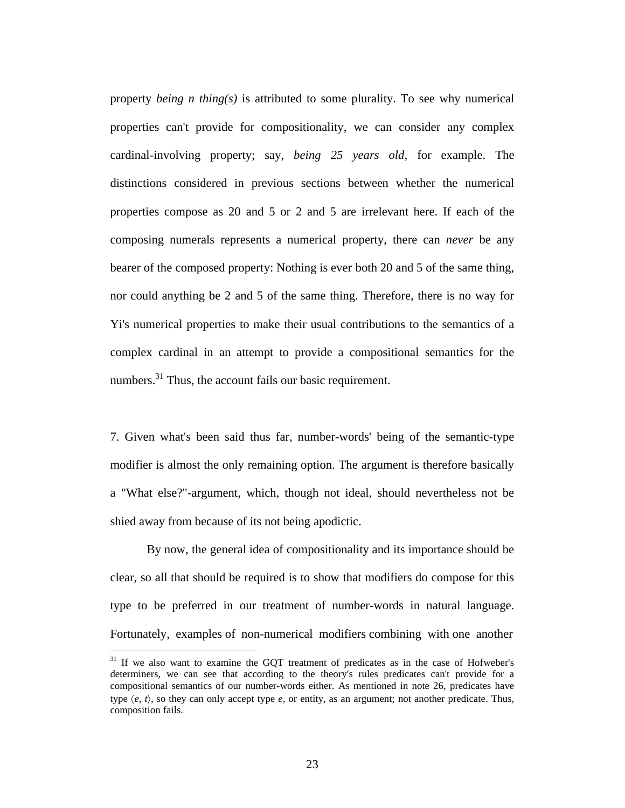property *being n thing(s)* is attributed to some plurality. To see why numerical properties can't provide for compositionality, we can consider any complex cardinal-involving property; say, *being 25 years old*, for example. The distinctions considered in previous sections between whether the numerical properties compose as 20 and 5 or 2 and 5 are irrelevant here. If each of the composing numerals represents a numerical property, there can *never* be any bearer of the composed property: Nothing is ever both 20 and 5 of the same thing, nor could anything be 2 and 5 of the same thing. Therefore, there is no way for Yi's numerical properties to make their usual contributions to the semantics of a complex cardinal in an attempt to provide a compositional semantics for the numbers. $^{31}$  Thus, the account fails our basic requirement.

7. Given what's been said thus far, number-words' being of the semantic-type modifier is almost the only remaining option. The argument is therefore basically a "What else?"-argument, which, though not ideal, should nevertheless not be shied away from because of its not being apodictic.

By now, the general idea of compositionality and its importance should be clear, so all that should be required is to show that modifiers do compose for this type to be preferred in our treatment of number-words in natural language. Fortunately, examples of non-numerical modifiers combining with one another

<u>.</u>

<sup>&</sup>lt;sup>31</sup> If we also want to examine the GQT treatment of predicates as in the case of Hofweber's determiners, we can see that according to the theory's rules predicates can't provide for a compositional semantics of our number-words either. As mentioned in note 26, predicates have type  $\langle e, t \rangle$ , so they can only accept type  $e$ , or entity, as an argument; not another predicate. Thus, composition fails.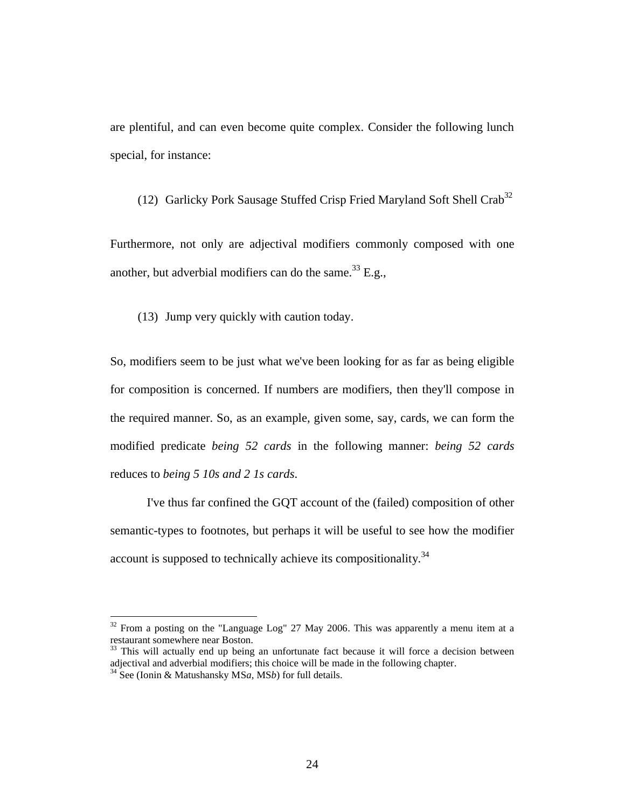are plentiful, and can even become quite complex. Consider the following lunch special, for instance:

(12) Garlicky Pork Sausage Stuffed Crisp Fried Maryland Soft Shell Crab<sup>32</sup>

Furthermore, not only are adjectival modifiers commonly composed with one another, but adverbial modifiers can do the same.<sup>33</sup> E.g.,

(13) Jump very quickly with caution today.

So, modifiers seem to be just what we've been looking for as far as being eligible for composition is concerned. If numbers are modifiers, then they'll compose in the required manner. So, as an example, given some, say, cards, we can form the modified predicate *being 52 cards* in the following manner: *being 52 cards*  reduces to *being 5 10s and 2 1s cards*.

I've thus far confined the GQT account of the (failed) composition of other semantic-types to footnotes, but perhaps it will be useful to see how the modifier account is supposed to technically achieve its compositionality.<sup>34</sup>

 $32$  From a posting on the "Language Log" 27 May 2006. This was apparently a menu item at a restaurant somewhere near Boston.

 $33$  This will actually end up being an unfortunate fact because it will force a decision between adjectival and adverbial modifiers; this choice will be made in the following chapter.

<sup>34</sup> See (Ionin & Matushansky MS*a*, MS*b*) for full details.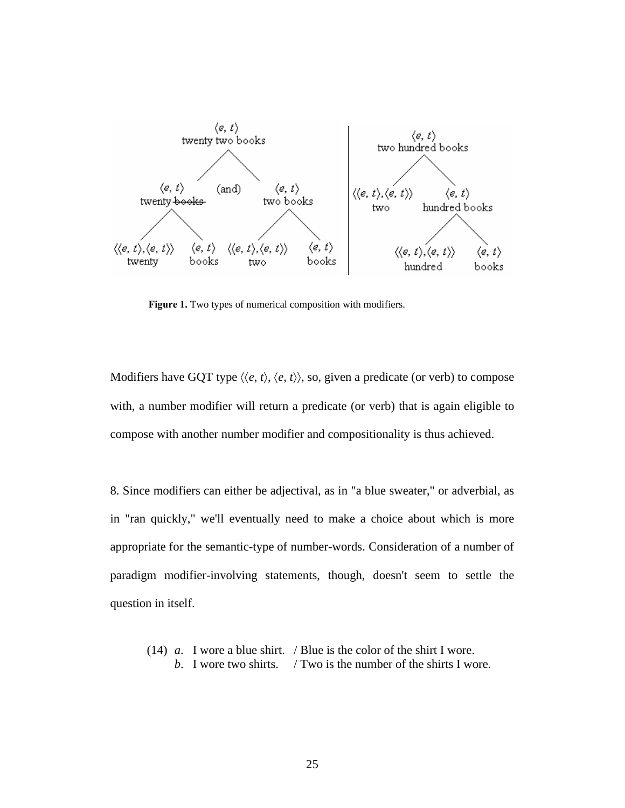

**Figure 1.** Two types of numerical composition with modifiers.

Modifiers have GQT type  $\langle \langle e, t \rangle, \langle e, t \rangle \rangle$ , so, given a predicate (or verb) to compose with, a number modifier will return a predicate (or verb) that is again eligible to compose with another number modifier and compositionality is thus achieved.

8. Since modifiers can either be adjectival, as in "a blue sweater," or adverbial, as in "ran quickly," we'll eventually need to make a choice about which is more appropriate for the semantic-type of number-words. Consideration of a number of paradigm modifier-involving statements, though, doesn't seem to settle the question in itself.

(14) *a*. I wore a blue shirt. / Blue is the color of the shirt I wore. *b*. I wore two shirts. / Two is the number of the shirts I wore.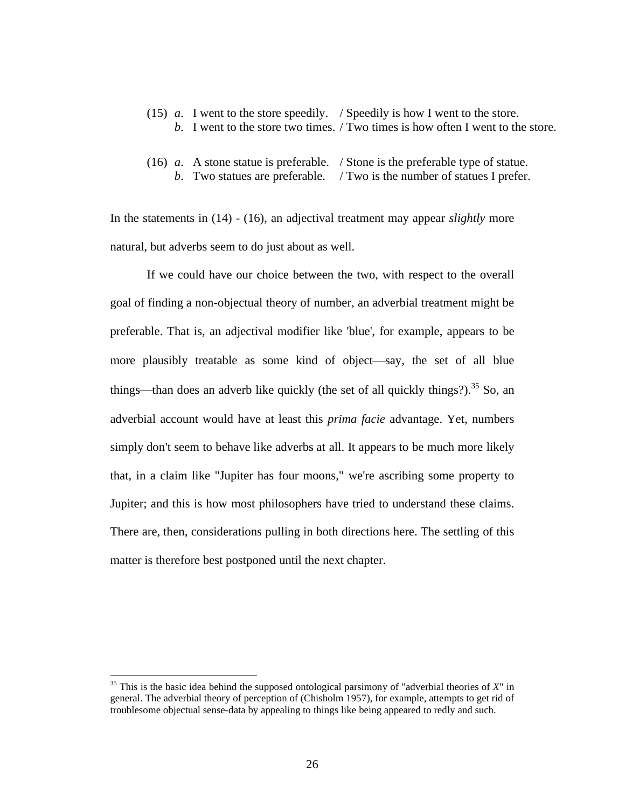- (15) *a*. I went to the store speedily. / Speedily is how I went to the store. *b*. I went to the store two times. / Two times is how often I went to the store.
- (16) *a*. A stone statue is preferable. / Stone is the preferable type of statue. *b*. Two statues are preferable. / Two is the number of statues I prefer.

In the statements in (14) - (16), an adjectival treatment may appear *slightly* more natural, but adverbs seem to do just about as well.

If we could have our choice between the two, with respect to the overall goal of finding a non-objectual theory of number, an adverbial treatment might be preferable. That is, an adjectival modifier like 'blue', for example, appears to be more plausibly treatable as some kind of object—say, the set of all blue things—than does an adverb like quickly (the set of all quickly things?).<sup>35</sup> So, an adverbial account would have at least this *prima facie* advantage. Yet, numbers simply don't seem to behave like adverbs at all. It appears to be much more likely that, in a claim like "Jupiter has four moons," we're ascribing some property to Jupiter; and this is how most philosophers have tried to understand these claims. There are, then, considerations pulling in both directions here. The settling of this matter is therefore best postponed until the next chapter.

<sup>35</sup> This is the basic idea behind the supposed ontological parsimony of "adverbial theories of *X*" in general. The adverbial theory of perception of (Chisholm 1957), for example, attempts to get rid of troublesome objectual sense-data by appealing to things like being appeared to redly and such.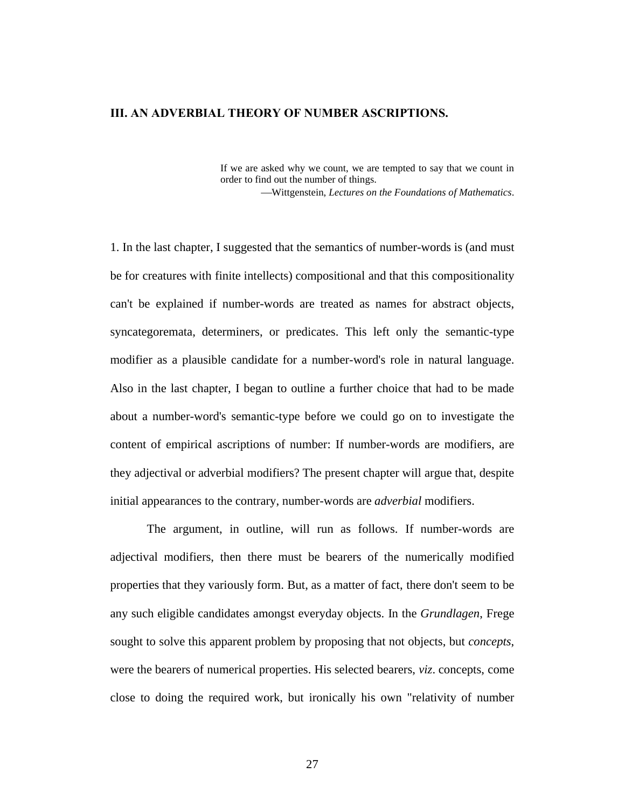### **III. AN ADVERBIAL THEORY OF NUMBER ASCRIPTIONS.**

If we are asked why we count, we are tempted to say that we count in order to find out the number of things.

Wittgenstein, *Lectures on the Foundations of Mathematics*.

1. In the last chapter, I suggested that the semantics of number-words is (and must be for creatures with finite intellects) compositional and that this compositionality can't be explained if number-words are treated as names for abstract objects, syncategoremata, determiners, or predicates. This left only the semantic-type modifier as a plausible candidate for a number-word's role in natural language. Also in the last chapter, I began to outline a further choice that had to be made about a number-word's semantic-type before we could go on to investigate the content of empirical ascriptions of number: If number-words are modifiers, are they adjectival or adverbial modifiers? The present chapter will argue that, despite initial appearances to the contrary, number-words are *adverbial* modifiers.

The argument, in outline, will run as follows. If number-words are adjectival modifiers, then there must be bearers of the numerically modified properties that they variously form. But, as a matter of fact, there don't seem to be any such eligible candidates amongst everyday objects. In the *Grundlagen*, Frege sought to solve this apparent problem by proposing that not objects, but *concepts*, were the bearers of numerical properties. His selected bearers, *viz*. concepts, come close to doing the required work, but ironically his own "relativity of number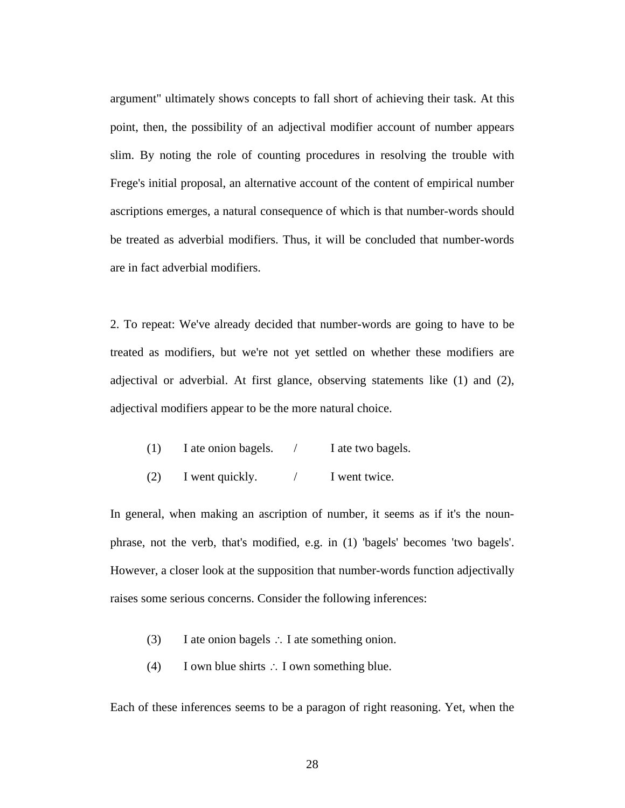argument" ultimately shows concepts to fall short of achieving their task. At this point, then, the possibility of an adjectival modifier account of number appears slim. By noting the role of counting procedures in resolving the trouble with Frege's initial proposal, an alternative account of the content of empirical number ascriptions emerges, a natural consequence of which is that number-words should be treated as adverbial modifiers. Thus, it will be concluded that number-words are in fact adverbial modifiers.

2. To repeat: We've already decided that number-words are going to have to be treated as modifiers, but we're not yet settled on whether these modifiers are adjectival or adverbial. At first glance, observing statements like (1) and (2), adjectival modifiers appear to be the more natural choice.

| (1) | I ate onion bagels. | I ate two bagels. |
|-----|---------------------|-------------------|
|     |                     |                   |

(2) I went quickly.  $/$  I went twice.

In general, when making an ascription of number, it seems as if it's the nounphrase, not the verb, that's modified, e.g. in (1) 'bagels' becomes 'two bagels'. However, a closer look at the supposition that number-words function adjectivally raises some serious concerns. Consider the following inferences:

- (3) I ate onion bagels  $\therefore$  I ate something onion.
- (4) I own blue shirts  $\therefore$  I own something blue.

Each of these inferences seems to be a paragon of right reasoning. Yet, when the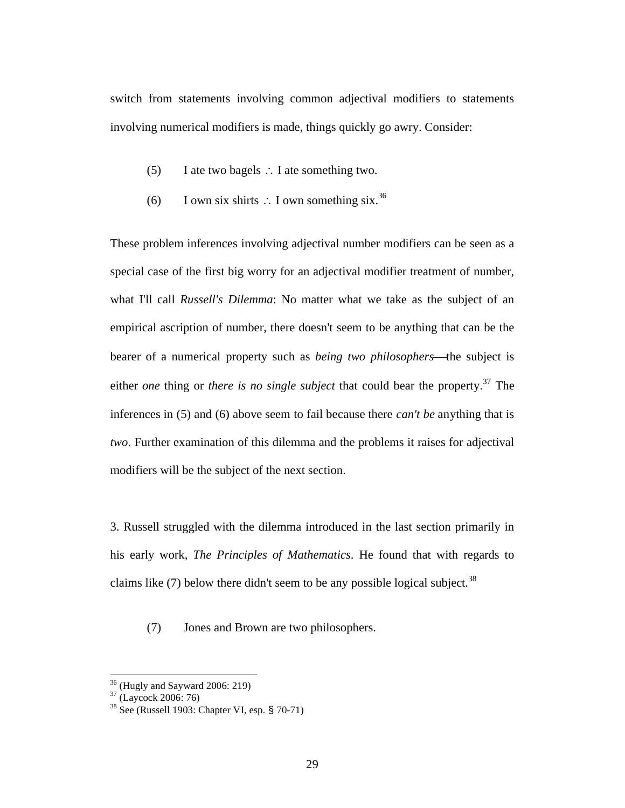switch from statements involving common adjectival modifiers to statements involving numerical modifiers is made, things quickly go awry. Consider:

- (5) I ate two bagels  $\therefore$  I ate something two.
- (6) I own six shirts  $\therefore$  I own something six.<sup>36</sup>

These problem inferences involving adjectival number modifiers can be seen as a special case of the first big worry for an adjectival modifier treatment of number, what I'll call *Russell's Dilemma*: No matter what we take as the subject of an empirical ascription of number, there doesn't seem to be anything that can be the bearer of a numerical property such as *being two philosophers*—the subject is either *one* thing or *there is no single subject* that could bear the property.<sup>37</sup> The inferences in (5) and (6) above seem to fail because there *can't be* anything that is *two*. Further examination of this dilemma and the problems it raises for adjectival modifiers will be the subject of the next section.

3. Russell struggled with the dilemma introduced in the last section primarily in his early work, *The Principles of Mathematics*. He found that with regards to claims like  $(7)$  below there didn't seem to be any possible logical subject.<sup>38</sup>

(7) Jones and Brown are two philosophers.

 $36$  (Hugly and Sayward 2006: 219)

<sup>37 (</sup>Laycock 2006: 76)

 $38$  See (Russell 1903: Chapter VI, esp.  $$70-71$ )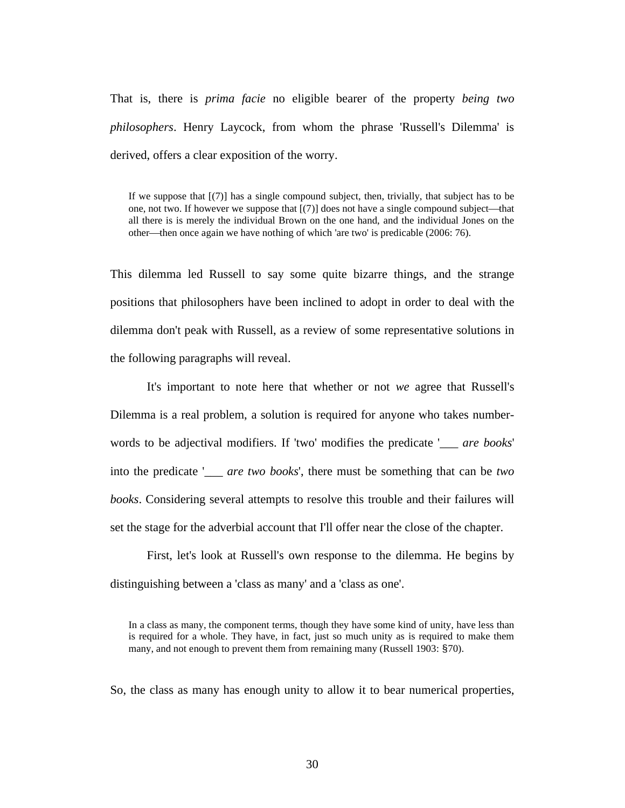That is, there is *prima facie* no eligible bearer of the property *being two philosophers*. Henry Laycock, from whom the phrase 'Russell's Dilemma' is derived, offers a clear exposition of the worry.

If we suppose that [(7)] has a single compound subject, then, trivially, that subject has to be one, not two. If however we suppose that  $[(7)]$  does not have a single compound subject—that all there is is merely the individual Brown on the one hand, and the individual Jones on the other—then once again we have nothing of which 'are two' is predicable  $(2006: 76)$ .

This dilemma led Russell to say some quite bizarre things, and the strange positions that philosophers have been inclined to adopt in order to deal with the dilemma don't peak with Russell, as a review of some representative solutions in the following paragraphs will reveal.

It's important to note here that whether or not *we* agree that Russell's Dilemma is a real problem, a solution is required for anyone who takes numberwords to be adjectival modifiers. If 'two' modifies the predicate '\_\_\_ *are books*' into the predicate '\_\_\_ *are two books*', there must be something that can be *two books*. Considering several attempts to resolve this trouble and their failures will set the stage for the adverbial account that I'll offer near the close of the chapter.

First, let's look at Russell's own response to the dilemma. He begins by distinguishing between a 'class as many' and a 'class as one'.

In a class as many, the component terms, though they have some kind of unity, have less than is required for a whole. They have, in fact, just so much unity as is required to make them many, and not enough to prevent them from remaining many (Russell 1903: §70).

So, the class as many has enough unity to allow it to bear numerical properties,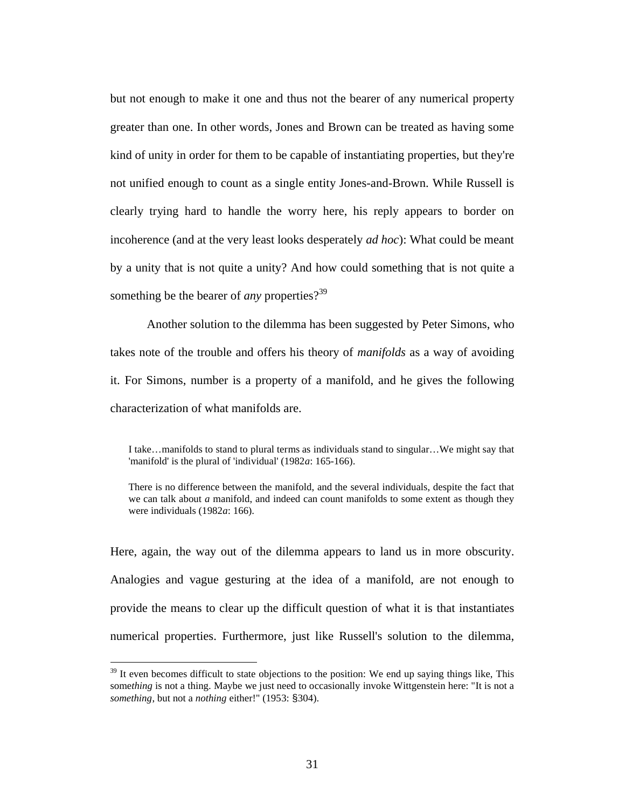but not enough to make it one and thus not the bearer of any numerical property greater than one. In other words, Jones and Brown can be treated as having some kind of unity in order for them to be capable of instantiating properties, but they're not unified enough to count as a single entity Jones-and-Brown. While Russell is clearly trying hard to handle the worry here, his reply appears to border on incoherence (and at the very least looks desperately *ad hoc*): What could be meant by a unity that is not quite a unity? And how could something that is not quite a something be the bearer of *any* properties?<sup>39</sup>

Another solution to the dilemma has been suggested by Peter Simons, who takes note of the trouble and offers his theory of *manifolds* as a way of avoiding it. For Simons, number is a property of a manifold, and he gives the following characterization of what manifolds are.

I take…manifolds to stand to plural terms as individuals stand to singular…We might say that 'manifold' is the plural of 'individual' (1982*a*: 165-166).

There is no difference between the manifold, and the several individuals, despite the fact that we can talk about *a* manifold, and indeed can count manifolds to some extent as though they were individuals (1982*a*: 166).

Here, again, the way out of the dilemma appears to land us in more obscurity. Analogies and vague gesturing at the idea of a manifold, are not enough to provide the means to clear up the difficult question of what it is that instantiates numerical properties. Furthermore, just like Russell's solution to the dilemma,

 $39$  It even becomes difficult to state objections to the position: We end up saying things like, This some*thing* is not a thing. Maybe we just need to occasionally invoke Wittgenstein here: "It is not a *something*, but not a *nothing* either!" (1953: §304).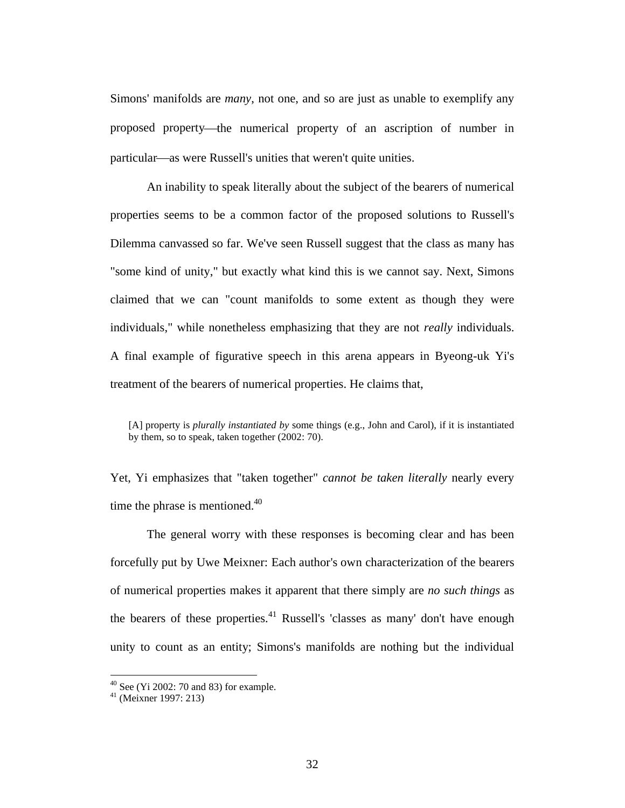Simons' manifolds are *many*, not one, and so are just as unable to exemplify any proposed property—the numerical property of an ascription of number in particular—as were Russell's unities that weren't quite unities.

An inability to speak literally about the subject of the bearers of numerical properties seems to be a common factor of the proposed solutions to Russell's Dilemma canvassed so far. We've seen Russell suggest that the class as many has "some kind of unity," but exactly what kind this is we cannot say. Next, Simons claimed that we can "count manifolds to some extent as though they were individuals," while nonetheless emphasizing that they are not *really* individuals. A final example of figurative speech in this arena appears in Byeong-uk Yi's treatment of the bearers of numerical properties. He claims that,

Yet, Yi emphasizes that "taken together" *cannot be taken literally* nearly every time the phrase is mentioned. $40$ 

The general worry with these responses is becoming clear and has been forcefully put by Uwe Meixner: Each author's own characterization of the bearers of numerical properties makes it apparent that there simply are *no such things* as the bearers of these properties.<sup>41</sup> Russell's 'classes as many' don't have enough unity to count as an entity; Simons's manifolds are nothing but the individual

<sup>[</sup>A] property is *plurally instantiated by* some things (e.g., John and Carol), if it is instantiated by them, so to speak, taken together (2002: 70).

 $40$  See (Yi 2002: 70 and 83) for example.

<sup>41 (</sup>Meixner 1997: 213)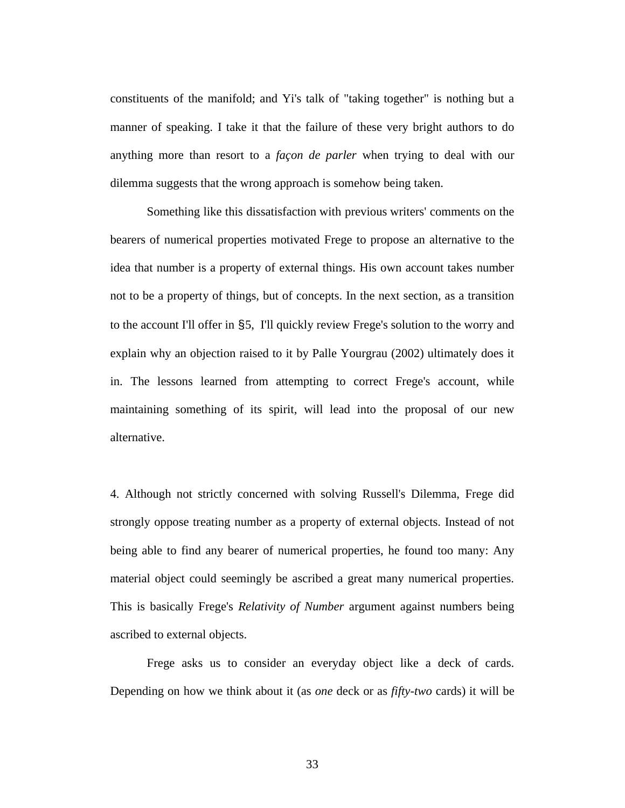constituents of the manifold; and Yi's talk of "taking together" is nothing but a manner of speaking. I take it that the failure of these very bright authors to do anything more than resort to a *façon de parler* when trying to deal with our dilemma suggests that the wrong approach is somehow being taken.

Something like this dissatisfaction with previous writers' comments on the bearers of numerical properties motivated Frege to propose an alternative to the idea that number is a property of external things. His own account takes number not to be a property of things, but of concepts. In the next section, as a transition to the account I'll offer in §5, I'll quickly review Frege's solution to the worry and explain why an objection raised to it by Palle Yourgrau (2002) ultimately does it in. The lessons learned from attempting to correct Frege's account, while maintaining something of its spirit, will lead into the proposal of our new alternative.

4. Although not strictly concerned with solving Russell's Dilemma, Frege did strongly oppose treating number as a property of external objects. Instead of not being able to find any bearer of numerical properties, he found too many: Any material object could seemingly be ascribed a great many numerical properties. This is basically Frege's *Relativity of Number* argument against numbers being ascribed to external objects.

Frege asks us to consider an everyday object like a deck of cards. Depending on how we think about it (as *one* deck or as *fifty-two* cards) it will be

33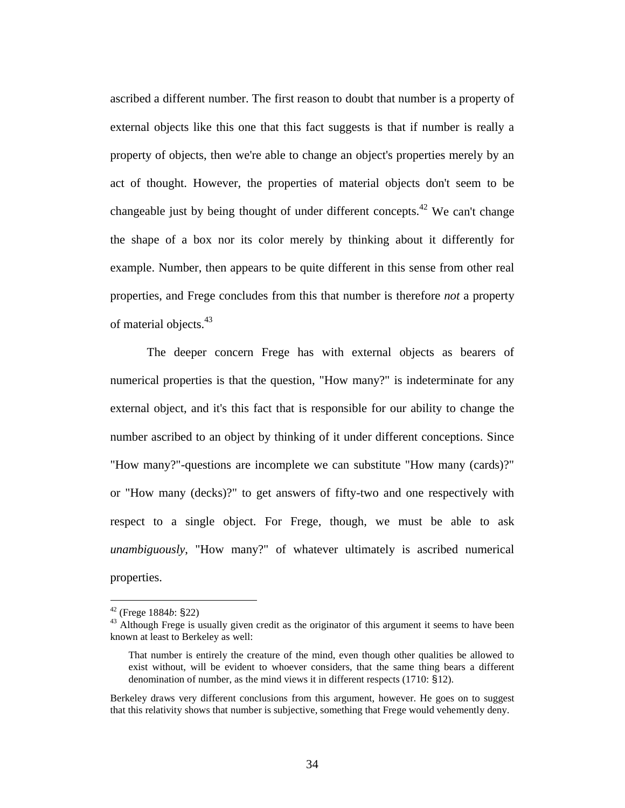ascribed a different number. The first reason to doubt that number is a property of external objects like this one that this fact suggests is that if number is really a property of objects, then we're able to change an object's properties merely by an act of thought. However, the properties of material objects don't seem to be changeable just by being thought of under different concepts.<sup>42</sup> We can't change the shape of a box nor its color merely by thinking about it differently for example. Number, then appears to be quite different in this sense from other real properties, and Frege concludes from this that number is therefore *not* a property of material objects.<sup>43</sup>

The deeper concern Frege has with external objects as bearers of numerical properties is that the question, "How many?" is indeterminate for any external object, and it's this fact that is responsible for our ability to change the number ascribed to an object by thinking of it under different conceptions. Since "How many?"-questions are incomplete we can substitute "How many (cards)?" or "How many (decks)?" to get answers of fifty-two and one respectively with respect to a single object. For Frege, though, we must be able to ask *unambiguously*, "How many?" of whatever ultimately is ascribed numerical properties.

<sup>&</sup>lt;sup>42</sup> (Frege 1884*b*: §22)<br><sup>43</sup> Although Frege is usually given credit as the originator of this argument it seems to have been known at least to Berkeley as well:

That number is entirely the creature of the mind, even though other qualities be allowed to exist without, will be evident to whoever considers, that the same thing bears a different denomination of number, as the mind views it in different respects (1710: §12).

Berkeley draws very different conclusions from this argument, however. He goes on to suggest that this relativity shows that number is subjective, something that Frege would vehemently deny.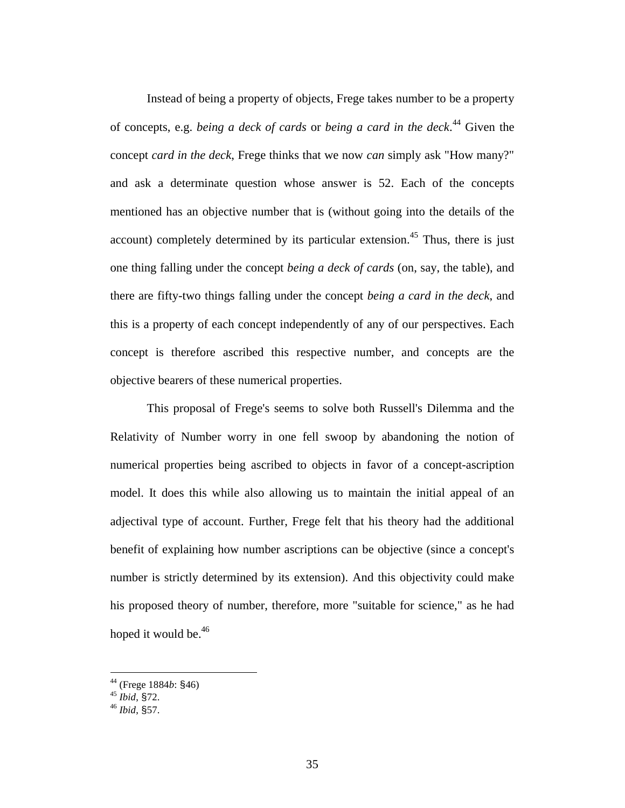Instead of being a property of objects, Frege takes number to be a property of concepts, e.g. *being a deck of cards* or *being a card in the deck*. 44 Given the concept *card in the deck*, Frege thinks that we now *can* simply ask "How many?" and ask a determinate question whose answer is 52. Each of the concepts mentioned has an objective number that is (without going into the details of the account) completely determined by its particular extension.<sup>45</sup> Thus, there is just one thing falling under the concept *being a deck of cards* (on, say, the table), and there are fifty-two things falling under the concept *being a card in the deck*, and this is a property of each concept independently of any of our perspectives. Each concept is therefore ascribed this respective number, and concepts are the objective bearers of these numerical properties.

This proposal of Frege's seems to solve both Russell's Dilemma and the Relativity of Number worry in one fell swoop by abandoning the notion of numerical properties being ascribed to objects in favor of a concept-ascription model. It does this while also allowing us to maintain the initial appeal of an adjectival type of account. Further, Frege felt that his theory had the additional benefit of explaining how number ascriptions can be objective (since a concept's number is strictly determined by its extension). And this objectivity could make his proposed theory of number, therefore, more "suitable for science," as he had hoped it would be.<sup>46</sup>

<sup>44 (</sup>Frege 1884*b*: §46) <sup>45</sup> *Ibid*, §72. <sup>46</sup> *Ibid*, §57.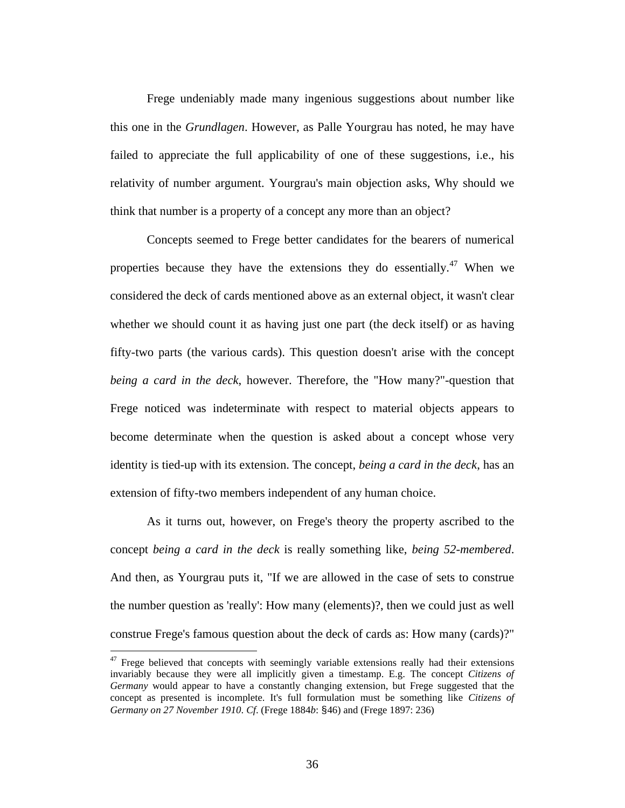Frege undeniably made many ingenious suggestions about number like this one in the *Grundlagen*. However, as Palle Yourgrau has noted, he may have failed to appreciate the full applicability of one of these suggestions, i.e., his relativity of number argument. Yourgrau's main objection asks, Why should we think that number is a property of a concept any more than an object?

Concepts seemed to Frege better candidates for the bearers of numerical properties because they have the extensions they do essentially.<sup>47</sup> When we considered the deck of cards mentioned above as an external object, it wasn't clear whether we should count it as having just one part (the deck itself) or as having fifty-two parts (the various cards). This question doesn't arise with the concept *being a card in the deck*, however. Therefore, the "How many?"-question that Frege noticed was indeterminate with respect to material objects appears to become determinate when the question is asked about a concept whose very identity is tied-up with its extension. The concept, *being a card in the deck*, has an extension of fifty-two members independent of any human choice.

As it turns out, however, on Frege's theory the property ascribed to the concept *being a card in the deck* is really something like, *being 52-membered*. And then, as Yourgrau puts it, "If we are allowed in the case of sets to construe the number question as 'really': How many (elements)?, then we could just as well construe Frege's famous question about the deck of cards as: How many (cards)?"

 $47$  Frege believed that concepts with seemingly variable extensions really had their extensions invariably because they were all implicitly given a timestamp. E.g. The concept *Citizens of Germany* would appear to have a constantly changing extension, but Frege suggested that the concept as presented is incomplete. It's full formulation must be something like *Citizens of Germany on 27 November 1910*. *Cf*. (Frege 1884*b*: §46) and (Frege 1897: 236)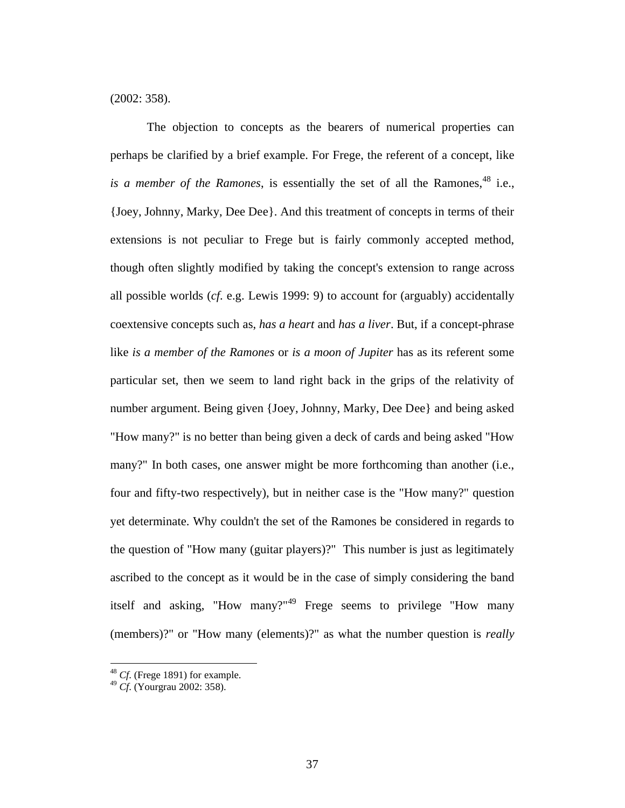(2002: 358).

The objection to concepts as the bearers of numerical properties can perhaps be clarified by a brief example. For Frege, the referent of a concept, like *is a member of the Ramones*, is essentially the set of all the Ramones, <sup>48</sup> i.e., {Joey, Johnny, Marky, Dee Dee}. And this treatment of concepts in terms of their extensions is not peculiar to Frege but is fairly commonly accepted method, though often slightly modified by taking the concept's extension to range across all possible worlds (*cf*. e.g. Lewis 1999: 9) to account for (arguably) accidentally coextensive concepts such as, *has a heart* and *has a liver*. But, if a concept-phrase like *is a member of the Ramones* or *is a moon of Jupiter* has as its referent some particular set, then we seem to land right back in the grips of the relativity of number argument. Being given {Joey, Johnny, Marky, Dee Dee} and being asked "How many?" is no better than being given a deck of cards and being asked "How many?" In both cases, one answer might be more forthcoming than another (i.e., four and fifty-two respectively), but in neither case is the "How many?" question yet determinate. Why couldn't the set of the Ramones be considered in regards to the question of "How many (guitar players)?" This number is just as legitimately ascribed to the concept as it would be in the case of simply considering the band itself and asking, "How many?"<sup>49</sup> Frege seems to privilege "How many (members)?" or "How many (elements)?" as what the number question is *really*

<sup>48</sup> *Cf*. (Frege 1891) for example.

<sup>49</sup> *Cf*. (Yourgrau 2002: 358).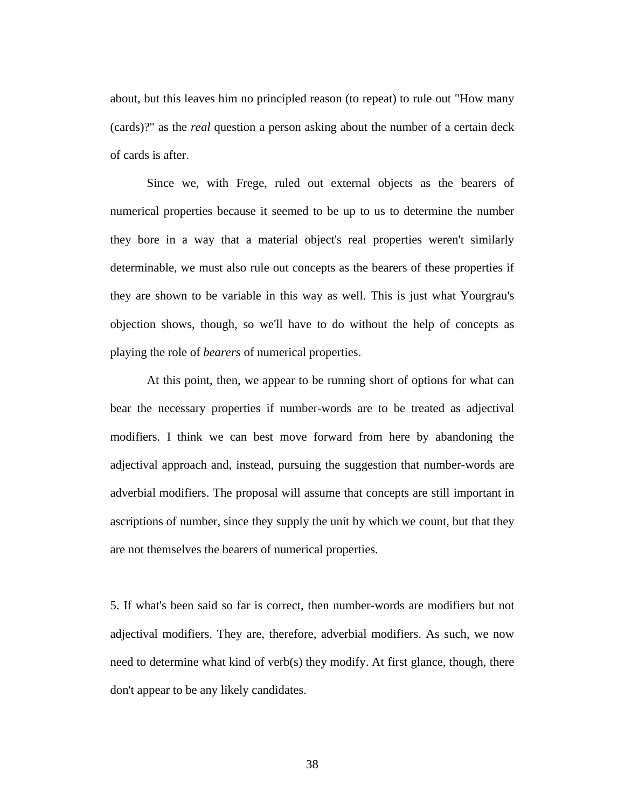about, but this leaves him no principled reason (to repeat) to rule out "How many (cards)?" as the *real* question a person asking about the number of a certain deck of cards is after.

Since we, with Frege, ruled out external objects as the bearers of numerical properties because it seemed to be up to us to determine the number they bore in a way that a material object's real properties weren't similarly determinable, we must also rule out concepts as the bearers of these properties if they are shown to be variable in this way as well. This is just what Yourgrau's objection shows, though, so we'll have to do without the help of concepts as playing the role of *bearers* of numerical properties.

At this point, then, we appear to be running short of options for what can bear the necessary properties if number-words are to be treated as adjectival modifiers. I think we can best move forward from here by abandoning the adjectival approach and, instead, pursuing the suggestion that number-words are adverbial modifiers. The proposal will assume that concepts are still important in ascriptions of number, since they supply the unit by which we count, but that they are not themselves the bearers of numerical properties.

5. If what's been said so far is correct, then number-words are modifiers but not adjectival modifiers. They are, therefore, adverbial modifiers. As such, we now need to determine what kind of verb(s) they modify. At first glance, though, there don't appear to be any likely candidates.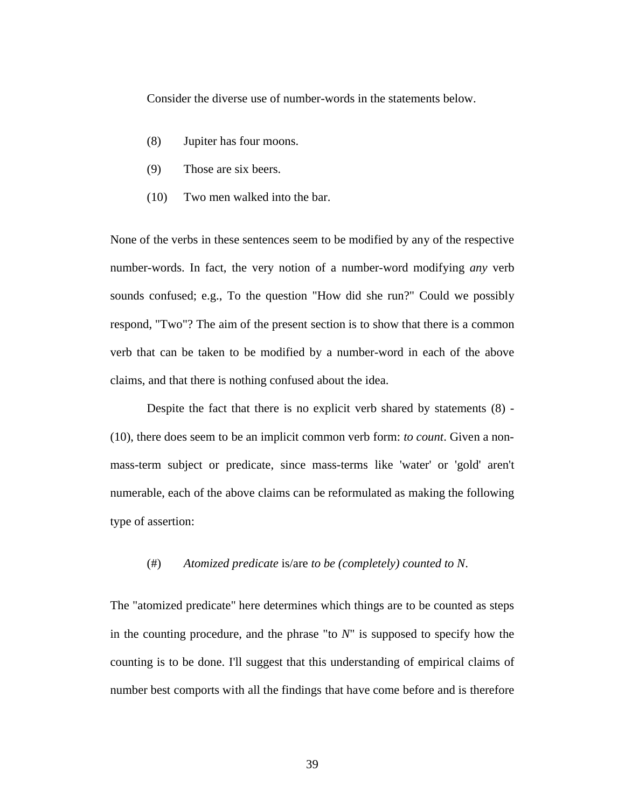Consider the diverse use of number-words in the statements below.

- (8) Jupiter has four moons.
- (9) Those are six beers.
- (10) Two men walked into the bar.

None of the verbs in these sentences seem to be modified by any of the respective number-words. In fact, the very notion of a number-word modifying *any* verb sounds confused; e.g., To the question "How did she run?" Could we possibly respond, "Two"? The aim of the present section is to show that there is a common verb that can be taken to be modified by a number-word in each of the above claims, and that there is nothing confused about the idea.

Despite the fact that there is no explicit verb shared by statements (8) - (10), there does seem to be an implicit common verb form: *to count*. Given a nonmass-term subject or predicate, since mass-terms like 'water' or 'gold' aren't numerable, each of the above claims can be reformulated as making the following type of assertion:

#### (#) *Atomized predicate* is/are *to be (completely) counted to N*.

The "atomized predicate" here determines which things are to be counted as steps in the counting procedure, and the phrase "to *N*" is supposed to specify how the counting is to be done. I'll suggest that this understanding of empirical claims of number best comports with all the findings that have come before and is therefore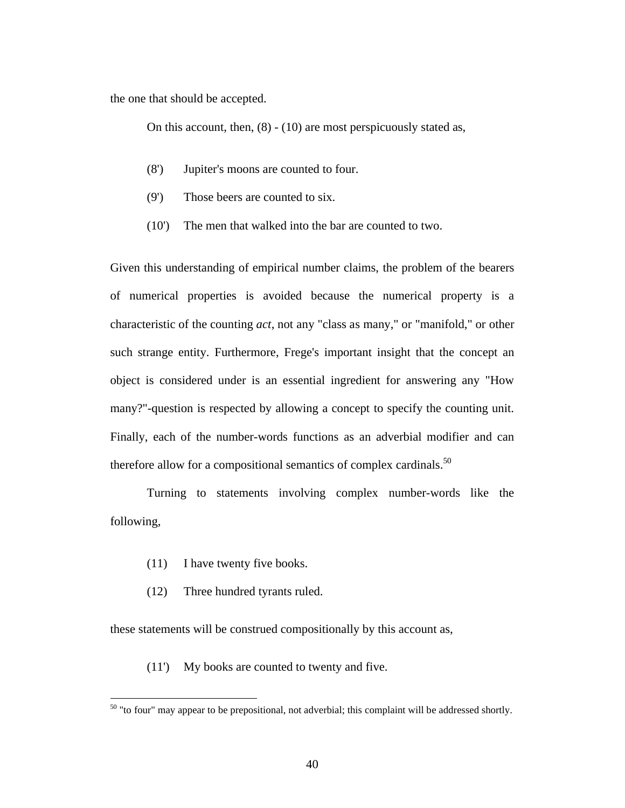the one that should be accepted.

On this account, then, (8) - (10) are most perspicuously stated as,

- (8') Jupiter's moons are counted to four.
- (9') Those beers are counted to six.
- (10') The men that walked into the bar are counted to two.

Given this understanding of empirical number claims, the problem of the bearers of numerical properties is avoided because the numerical property is a characteristic of the counting *act*, not any "class as many," or "manifold," or other such strange entity. Furthermore, Frege's important insight that the concept an object is considered under is an essential ingredient for answering any "How many?"-question is respected by allowing a concept to specify the counting unit. Finally, each of the number-words functions as an adverbial modifier and can therefore allow for a compositional semantics of complex cardinals. $50$ 

Turning to statements involving complex number-words like the following,

(11) I have twenty five books.

 $\overline{a}$ 

(12) Three hundred tyrants ruled.

these statements will be construed compositionally by this account as,

(11') My books are counted to twenty and five.

 $50$  "to four" may appear to be prepositional, not adverbial; this complaint will be addressed shortly.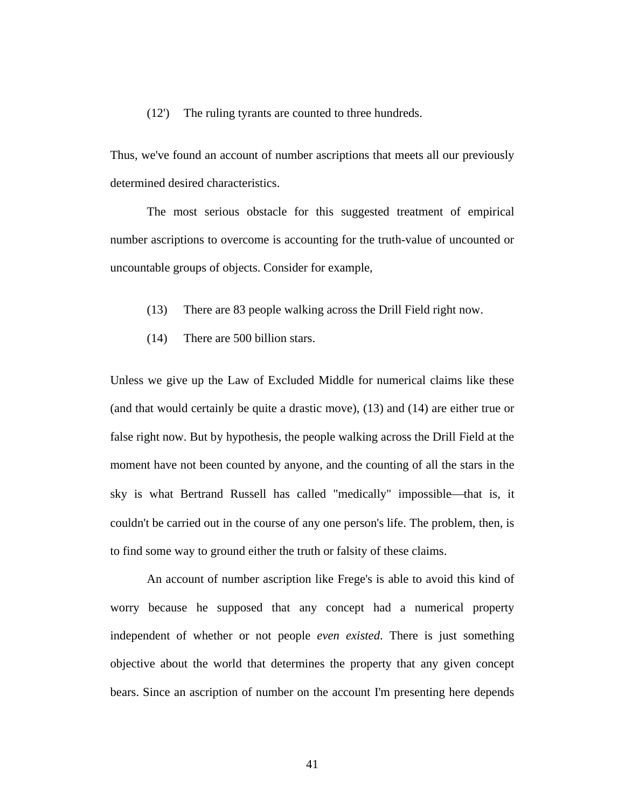#### (12') The ruling tyrants are counted to three hundreds.

Thus, we've found an account of number ascriptions that meets all our previously determined desired characteristics.

The most serious obstacle for this suggested treatment of empirical number ascriptions to overcome is accounting for the truth-value of uncounted or uncountable groups of objects. Consider for example,

- (13) There are 83 people walking across the Drill Field right now.
- (14) There are 500 billion stars.

Unless we give up the Law of Excluded Middle for numerical claims like these (and that would certainly be quite a drastic move), (13) and (14) are either true or false right now. But by hypothesis, the people walking across the Drill Field at the moment have not been counted by anyone, and the counting of all the stars in the sky is what Bertrand Russell has called "medically" impossible—that is, it couldn't be carried out in the course of any one person's life. The problem, then, is to find some way to ground either the truth or falsity of these claims.

An account of number ascription like Frege's is able to avoid this kind of worry because he supposed that any concept had a numerical property independent of whether or not people *even existed*. There is just something objective about the world that determines the property that any given concept bears. Since an ascription of number on the account I'm presenting here depends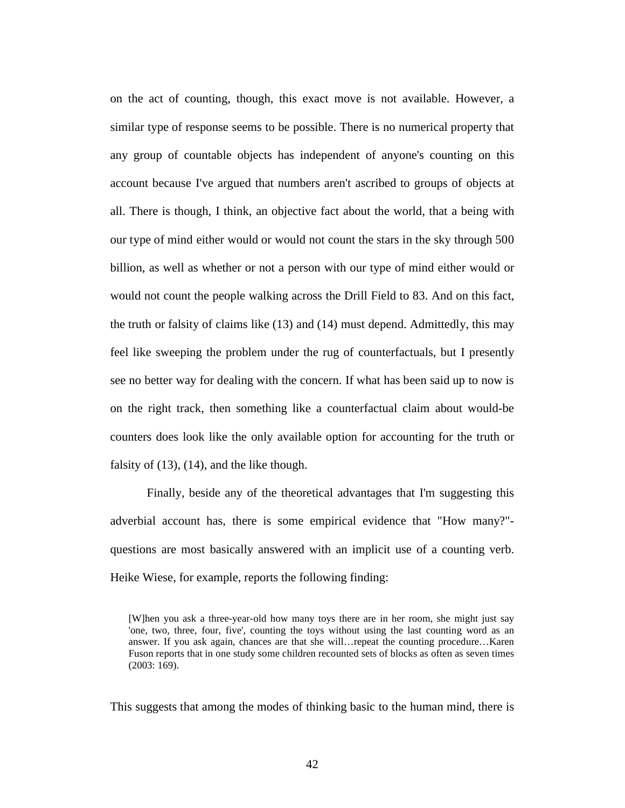on the act of counting, though, this exact move is not available. However, a similar type of response seems to be possible. There is no numerical property that any group of countable objects has independent of anyone's counting on this account because I've argued that numbers aren't ascribed to groups of objects at all. There is though, I think, an objective fact about the world, that a being with our type of mind either would or would not count the stars in the sky through 500 billion, as well as whether or not a person with our type of mind either would or would not count the people walking across the Drill Field to 83. And on this fact, the truth or falsity of claims like (13) and (14) must depend. Admittedly, this may feel like sweeping the problem under the rug of counterfactuals, but I presently see no better way for dealing with the concern. If what has been said up to now is on the right track, then something like a counterfactual claim about would-be counters does look like the only available option for accounting for the truth or falsity of (13), (14), and the like though.

Finally, beside any of the theoretical advantages that I'm suggesting this adverbial account has, there is some empirical evidence that "How many?" questions are most basically answered with an implicit use of a counting verb. Heike Wiese, for example, reports the following finding:

This suggests that among the modes of thinking basic to the human mind, there is

<sup>[</sup>W]hen you ask a three-year-old how many toys there are in her room, she might just say 'one, two, three, four, five', counting the toys without using the last counting word as an answer. If you ask again, chances are that she will…repeat the counting procedure…Karen Fuson reports that in one study some children recounted sets of blocks as often as seven times (2003: 169).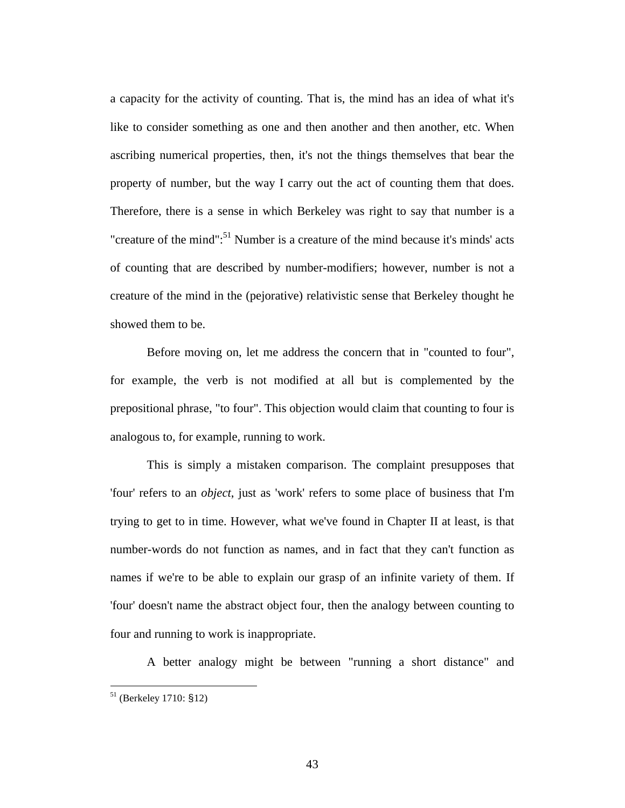a capacity for the activity of counting. That is, the mind has an idea of what it's like to consider something as one and then another and then another, etc. When ascribing numerical properties, then, it's not the things themselves that bear the property of number, but the way I carry out the act of counting them that does. Therefore, there is a sense in which Berkeley was right to say that number is a "creature of the mind": $51$  Number is a creature of the mind because it's minds' acts of counting that are described by number-modifiers; however, number is not a creature of the mind in the (pejorative) relativistic sense that Berkeley thought he showed them to be.

Before moving on, let me address the concern that in "counted to four", for example, the verb is not modified at all but is complemented by the prepositional phrase, "to four". This objection would claim that counting to four is analogous to, for example, running to work.

This is simply a mistaken comparison. The complaint presupposes that 'four' refers to an *object*, just as 'work' refers to some place of business that I'm trying to get to in time. However, what we've found in Chapter II at least, is that number-words do not function as names, and in fact that they can't function as names if we're to be able to explain our grasp of an infinite variety of them. If 'four' doesn't name the abstract object four, then the analogy between counting to four and running to work is inappropriate.

A better analogy might be between "running a short distance" and

1

<sup>51 (</sup>Berkeley 1710: §12)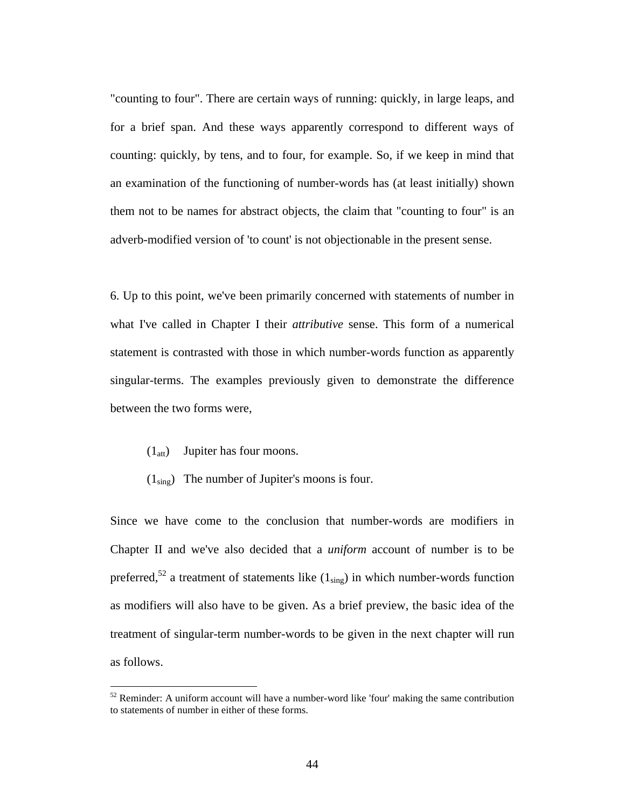"counting to four". There are certain ways of running: quickly, in large leaps, and for a brief span. And these ways apparently correspond to different ways of counting: quickly, by tens, and to four, for example. So, if we keep in mind that an examination of the functioning of number-words has (at least initially) shown them not to be names for abstract objects, the claim that "counting to four" is an adverb-modified version of 'to count' is not objectionable in the present sense.

6. Up to this point, we've been primarily concerned with statements of number in what I've called in Chapter I their *attributive* sense. This form of a numerical statement is contrasted with those in which number-words function as apparently singular-terms. The examples previously given to demonstrate the difference between the two forms were,

 $(1<sub>att</sub>)$  Jupiter has four moons.

1

 $(1_{\text{sing}})$  The number of Jupiter's moons is four.

Since we have come to the conclusion that number-words are modifiers in Chapter II and we've also decided that a *uniform* account of number is to be preferred,<sup>52</sup> a treatment of statements like  $(1_{sing})$  in which number-words function as modifiers will also have to be given. As a brief preview, the basic idea of the treatment of singular-term number-words to be given in the next chapter will run as follows.

 $52$  Reminder: A uniform account will have a number-word like 'four' making the same contribution to statements of number in either of these forms.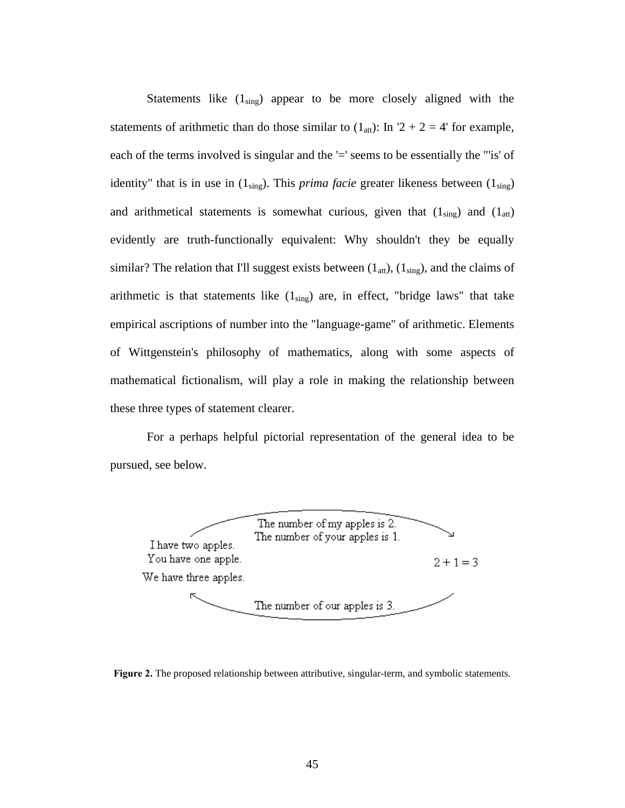Statements like  $(1_{sing})$  appear to be more closely aligned with the statements of arithmetic than do those similar to  $(1_{\text{att}})$ : In  $2 + 2 = 4$ ' for example, each of the terms involved is singular and the '=' seems to be essentially the "'is' of identity" that is in use in  $(1_{sing})$ . This *prima facie* greater likeness between  $(1_{sing})$ and arithmetical statements is somewhat curious, given that  $(1_{sing})$  and  $(1_{att})$ evidently are truth-functionally equivalent: Why shouldn't they be equally similar? The relation that I'll suggest exists between  $(1_{\text{att}}), (1_{\text{sing}})$ , and the claims of arithmetic is that statements like  $(1_{sing})$  are, in effect, "bridge laws" that take empirical ascriptions of number into the "language-game" of arithmetic. Elements of Wittgenstein's philosophy of mathematics, along with some aspects of mathematical fictionalism, will play a role in making the relationship between these three types of statement clearer.

For a perhaps helpful pictorial representation of the general idea to be pursued, see below.



**Figure 2.** The proposed relationship between attributive, singular-term, and symbolic statements.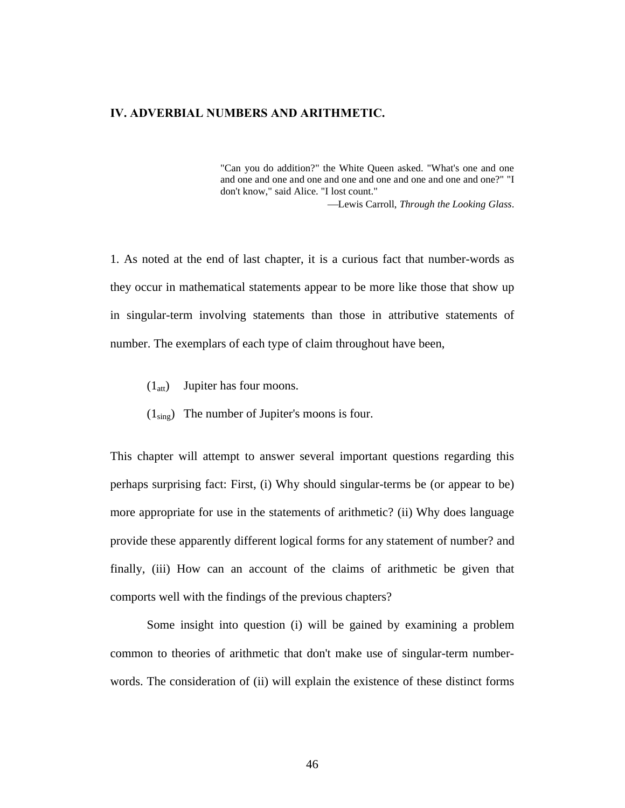### **IV. ADVERBIAL NUMBERS AND ARITHMETIC.**

"Can you do addition?" the White Queen asked. "What's one and one and one and one and one and one and one and one and one and one?" "I don't know," said Alice. "I lost count."

Lewis Carroll, *Through the Looking Glass*.

1. As noted at the end of last chapter, it is a curious fact that number-words as they occur in mathematical statements appear to be more like those that show up in singular-term involving statements than those in attributive statements of number. The exemplars of each type of claim throughout have been,

- $(1<sub>att</sub>)$  Jupiter has four moons.
- $(1_{\text{sing}})$  The number of Jupiter's moons is four.

This chapter will attempt to answer several important questions regarding this perhaps surprising fact: First, (i) Why should singular-terms be (or appear to be) more appropriate for use in the statements of arithmetic? (ii) Why does language provide these apparently different logical forms for any statement of number? and finally, (iii) How can an account of the claims of arithmetic be given that comports well with the findings of the previous chapters?

Some insight into question (i) will be gained by examining a problem common to theories of arithmetic that don't make use of singular-term numberwords. The consideration of (ii) will explain the existence of these distinct forms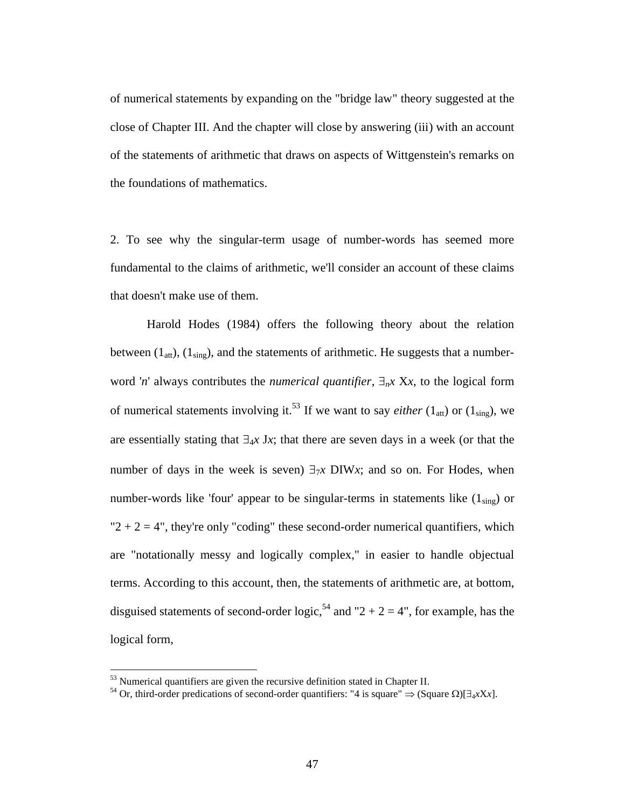of numerical statements by expanding on the "bridge law" theory suggested at the close of Chapter III. And the chapter will close by answering (iii) with an account of the statements of arithmetic that draws on aspects of Wittgenstein's remarks on the foundations of mathematics.

2. To see why the singular-term usage of number-words has seemed more fundamental to the claims of arithmetic, we'll consider an account of these claims that doesn't make use of them.

Harold Hodes (1984) offers the following theory about the relation between  $(1_{\text{att}}), (1_{\text{sing}})$ , and the statements of arithmetic. He suggests that a numberword '*n*' always contributes the *numerical quantifier*,  $\exists_{n} x$  X*x*, to the logical form of numerical statements involving it.<sup>53</sup> If we want to say *either*  $(1_{\text{att}})$  or  $(1_{\text{sing}})$ , we are essentially stating that  $\exists_{4} x \, Jx$ ; that there are seven days in a week (or that the number of days in the week is seven)  $\exists \tau x$  DIW*x*; and so on. For Hodes, when number-words like 'four' appear to be singular-terms in statements like  $(1_{\text{sing}})$  or " $2 + 2 = 4$ ", they're only "coding" these second-order numerical quantifiers, which are "notationally messy and logically complex," in easier to handle objectual terms. According to this account, then, the statements of arithmetic are, at bottom, disguised statements of second-order logic,<sup>54</sup> and "2 + 2 = 4", for example, has the logical form,

<u>.</u>

<sup>&</sup>lt;sup>53</sup> Numerical quantifiers are given the recursive definition stated in Chapter II.

<sup>&</sup>lt;sup>54</sup> Or, third-order predications of second-order quantifiers: "4 is square"  $\Rightarrow$  (Square  $\Omega$ )[ $\exists$ <sub>4</sub>*xXx*].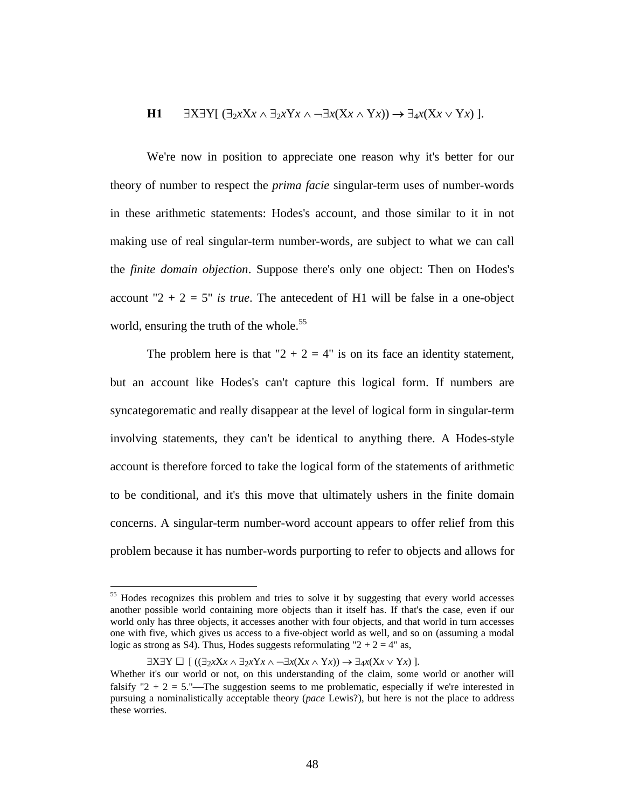H1 
$$
\exists X \exists Y \, (\exists_2 x X x \land \exists_2 x Y x \land \neg \exists x (X x \land Y x)) \rightarrow \exists_4 x (X x \lor Y x) \,].
$$

We're now in position to appreciate one reason why it's better for our theory of number to respect the *prima facie* singular-term uses of number-words in these arithmetic statements: Hodes's account, and those similar to it in not making use of real singular-term number-words, are subject to what we can call the *finite domain objection*. Suppose there's only one object: Then on Hodes's account " $2 + 2 = 5$ " *is true*. The antecedent of H1 will be false in a one-object world, ensuring the truth of the whole.<sup>55</sup>

The problem here is that " $2 + 2 = 4$ " is on its face an identity statement, but an account like Hodes's can't capture this logical form. If numbers are syncategorematic and really disappear at the level of logical form in singular-term involving statements, they can't be identical to anything there. A Hodes-style account is therefore forced to take the logical form of the statements of arithmetic to be conditional, and it's this move that ultimately ushers in the finite domain concerns. A singular-term number-word account appears to offer relief from this problem because it has number-words purporting to refer to objects and allows for

<sup>&</sup>lt;sup>55</sup> Hodes recognizes this problem and tries to solve it by suggesting that every world accesses another possible world containing more objects than it itself has. If that's the case, even if our world only has three objects, it accesses another with four objects, and that world in turn accesses one with five, which gives us access to a five-object world as well, and so on (assuming a modal logic as strong as S4). Thus, Hodes suggests reformulating " $2 + 2 = 4$ " as,

 $\exists$ X $\exists$ Y  $\Box$  [ (( $\exists$ <sub>2</sub>xX*x*  $\land$   $\exists$ <sub>2</sub>xY*x*  $\land$   $\neg \exists$ *x*(X*x*  $\land$  Y*x*) ].

Whether it's our world or not, on this understanding of the claim, some world or another will falsify "2 + 2 = 5."—The suggestion seems to me problematic, especially if we're interested in pursuing a nominalistically acceptable theory (*pace* Lewis?), but here is not the place to address these worries.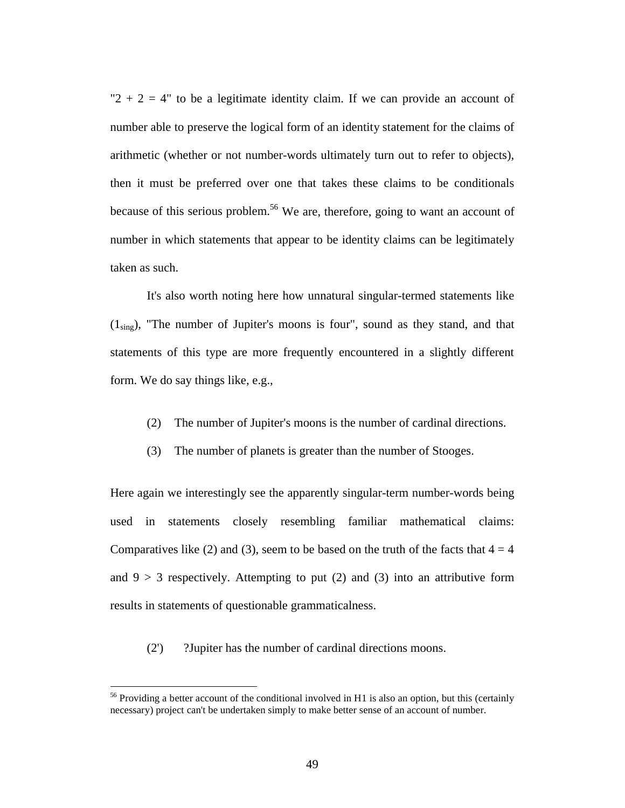" $2 + 2 = 4$ " to be a legitimate identity claim. If we can provide an account of number able to preserve the logical form of an identity statement for the claims of arithmetic (whether or not number-words ultimately turn out to refer to objects), then it must be preferred over one that takes these claims to be conditionals because of this serious problem.<sup>56</sup> We are, therefore, going to want an account of number in which statements that appear to be identity claims can be legitimately taken as such.

It's also worth noting here how unnatural singular-termed statements like  $(1_{\text{sing}})$ , "The number of Jupiter's moons is four", sound as they stand, and that statements of this type are more frequently encountered in a slightly different form. We do say things like, e.g.,

- (2) The number of Jupiter's moons is the number of cardinal directions.
- (3) The number of planets is greater than the number of Stooges.

Here again we interestingly see the apparently singular-term number-words being used in statements closely resembling familiar mathematical claims: Comparatives like (2) and (3), seem to be based on the truth of the facts that  $4 = 4$ and  $9 > 3$  respectively. Attempting to put (2) and (3) into an attributive form results in statements of questionable grammaticalness.

(2') ?Jupiter has the number of cardinal directions moons.

<sup>&</sup>lt;sup>56</sup> Providing a better account of the conditional involved in H<sub>1</sub> is also an option, but this (certainly necessary) project can't be undertaken simply to make better sense of an account of number.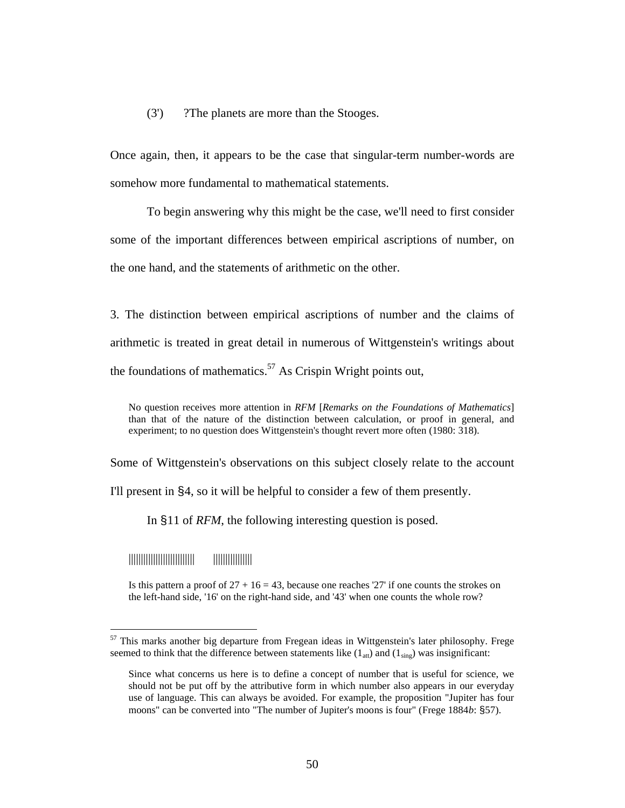#### (3') ?The planets are more than the Stooges.

Once again, then, it appears to be the case that singular-term number-words are somehow more fundamental to mathematical statements.

To begin answering why this might be the case, we'll need to first consider some of the important differences between empirical ascriptions of number, on the one hand, and the statements of arithmetic on the other.

3. The distinction between empirical ascriptions of number and the claims of arithmetic is treated in great detail in numerous of Wittgenstein's writings about the foundations of mathematics.<sup>57</sup> As Crispin Wright points out,

No question receives more attention in *RFM* [*Remarks on the Foundations of Mathematics*] than that of the nature of the distinction between calculation, or proof in general, and experiment; to no question does Wittgenstein's thought revert more often (1980: 318).

Some of Wittgenstein's observations on this subject closely relate to the account

I'll present in §4, so it will be helpful to consider a few of them presently.

In §11 of *RFM*, the following interesting question is posed.

||||||||||||||||||||||||||| ||||||||||||||||

 $\overline{a}$ 

Is this pattern a proof of  $27 + 16 = 43$ , because one reaches '27' if one counts the strokes on the left-hand side, '16' on the right-hand side, and '43' when one counts the whole row?

 $57$  This marks another big departure from Fregean ideas in Wittgenstein's later philosophy. Frege seemed to think that the difference between statements like  $(1_{att})$  and  $(1_{sing})$  was insignificant:

Since what concerns us here is to define a concept of number that is useful for science, we should not be put off by the attributive form in which number also appears in our everyday use of language. This can always be avoided. For example, the proposition "Jupiter has four moons" can be converted into "The number of Jupiter's moons is four" (Frege 1884*b*: §57).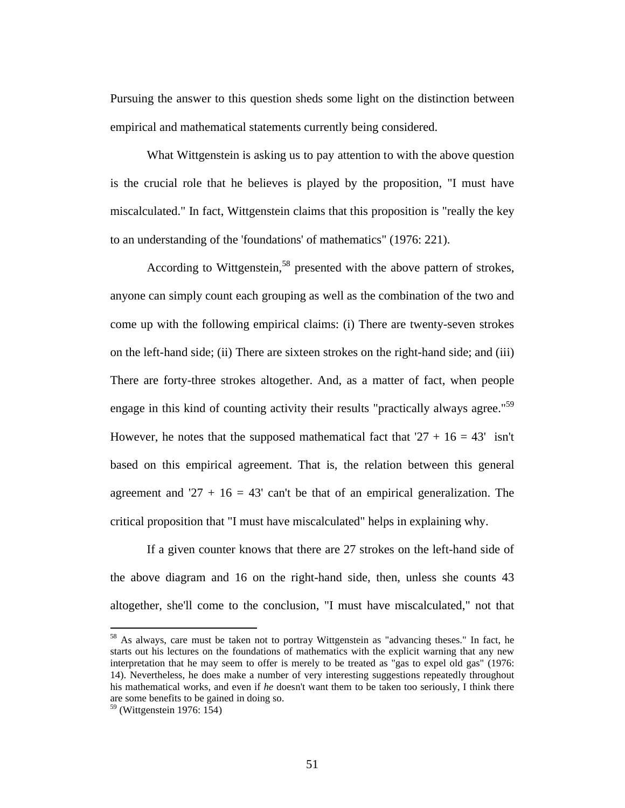Pursuing the answer to this question sheds some light on the distinction between empirical and mathematical statements currently being considered.

What Wittgenstein is asking us to pay attention to with the above question is the crucial role that he believes is played by the proposition, "I must have miscalculated." In fact, Wittgenstein claims that this proposition is "really the key to an understanding of the 'foundations' of mathematics" (1976: 221).

According to Wittgenstein,<sup>58</sup> presented with the above pattern of strokes, anyone can simply count each grouping as well as the combination of the two and come up with the following empirical claims: (i) There are twenty-seven strokes on the left-hand side; (ii) There are sixteen strokes on the right-hand side; and (iii) There are forty-three strokes altogether. And, as a matter of fact, when people engage in this kind of counting activity their results "practically always agree."<sup>59</sup> However, he notes that the supposed mathematical fact that  $27 + 16 = 43'$  isn't based on this empirical agreement. That is, the relation between this general agreement and '27 +  $16 = 43'$  can't be that of an empirical generalization. The critical proposition that "I must have miscalculated" helps in explaining why.

If a given counter knows that there are 27 strokes on the left-hand side of the above diagram and 16 on the right-hand side, then, unless she counts 43 altogether, she'll come to the conclusion, "I must have miscalculated," not that

<sup>&</sup>lt;sup>58</sup> As always, care must be taken not to portray Wittgenstein as "advancing theses." In fact, he starts out his lectures on the foundations of mathematics with the explicit warning that any new interpretation that he may seem to offer is merely to be treated as "gas to expel old gas" (1976: 14). Nevertheless, he does make a number of very interesting suggestions repeatedly throughout his mathematical works, and even if *he* doesn't want them to be taken too seriously, I think there are some benefits to be gained in doing so.

<sup>59 (</sup>Wittgenstein 1976: 154)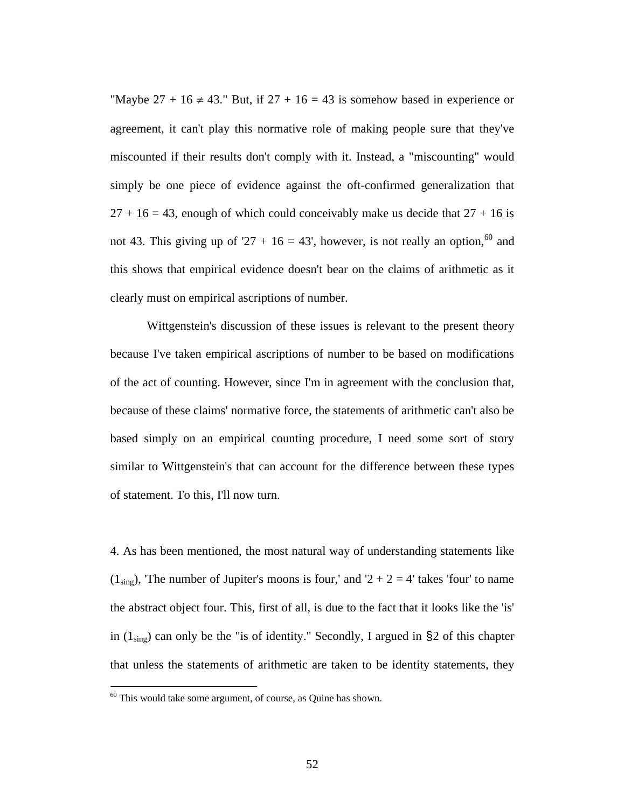"Maybe  $27 + 16 \neq 43$ ." But, if  $27 + 16 = 43$  is somehow based in experience or agreement, it can't play this normative role of making people sure that they've miscounted if their results don't comply with it. Instead, a "miscounting" would simply be one piece of evidence against the oft-confirmed generalization that  $27 + 16 = 43$ , enough of which could conceivably make us decide that  $27 + 16$  is not 43. This giving up of '27 + 16 = 43', however, is not really an option,<sup>60</sup> and this shows that empirical evidence doesn't bear on the claims of arithmetic as it clearly must on empirical ascriptions of number.

Wittgenstein's discussion of these issues is relevant to the present theory because I've taken empirical ascriptions of number to be based on modifications of the act of counting. However, since I'm in agreement with the conclusion that, because of these claims' normative force, the statements of arithmetic can't also be based simply on an empirical counting procedure, I need some sort of story similar to Wittgenstein's that can account for the difference between these types of statement. To this, I'll now turn.

4. As has been mentioned, the most natural way of understanding statements like  $(1_{sing})$ , The number of Jupiter's moons is four,' and '2 + 2 = 4' takes 'four' to name the abstract object four. This, first of all, is due to the fact that it looks like the 'is' in  $(1_{\text{sing}})$  can only be the "is of identity." Secondly, I argued in §2 of this chapter that unless the statements of arithmetic are taken to be identity statements, they

 $60$  This would take some argument, of course, as Quine has shown.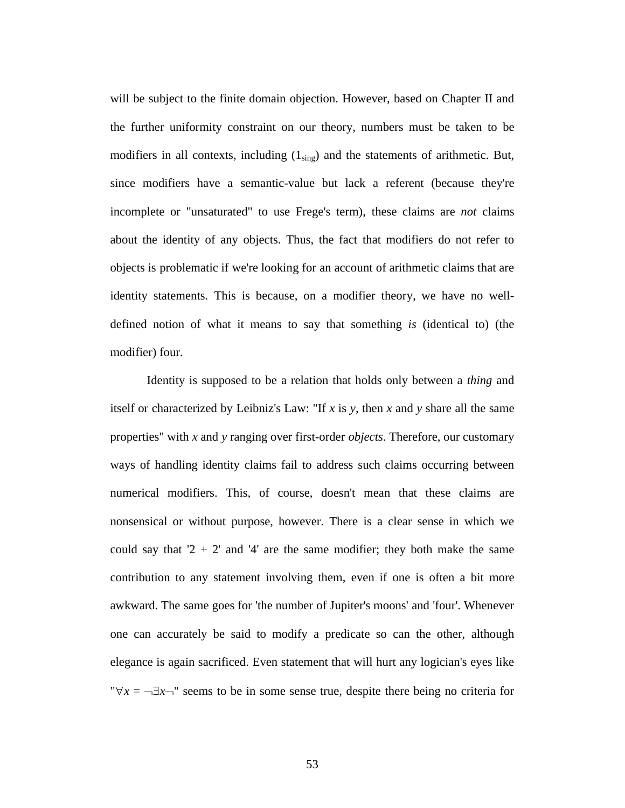will be subject to the finite domain objection. However, based on Chapter II and the further uniformity constraint on our theory, numbers must be taken to be modifiers in all contexts, including  $(1_{sing})$  and the statements of arithmetic. But, since modifiers have a semantic-value but lack a referent (because they're incomplete or "unsaturated" to use Frege's term), these claims are *not* claims about the identity of any objects. Thus, the fact that modifiers do not refer to objects is problematic if we're looking for an account of arithmetic claims that are identity statements. This is because, on a modifier theory, we have no welldefined notion of what it means to say that something *is* (identical to) (the modifier) four.

Identity is supposed to be a relation that holds only between a *thing* and itself or characterized by Leibniz's Law: "If *x* is *y*, then *x* and *y* share all the same properties" with *x* and *y* ranging over first-order *objects*. Therefore, our customary ways of handling identity claims fail to address such claims occurring between numerical modifiers. This, of course, doesn't mean that these claims are nonsensical or without purpose, however. There is a clear sense in which we could say that  $2 + 2'$  and  $4'$  are the same modifier; they both make the same contribution to any statement involving them, even if one is often a bit more awkward. The same goes for 'the number of Jupiter's moons' and 'four'. Whenever one can accurately be said to modify a predicate so can the other, although elegance is again sacrificed. Even statement that will hurt any logician's eyes like " $\forall x = -\exists x$ <sup>"</sup> seems to be in some sense true, despite there being no criteria for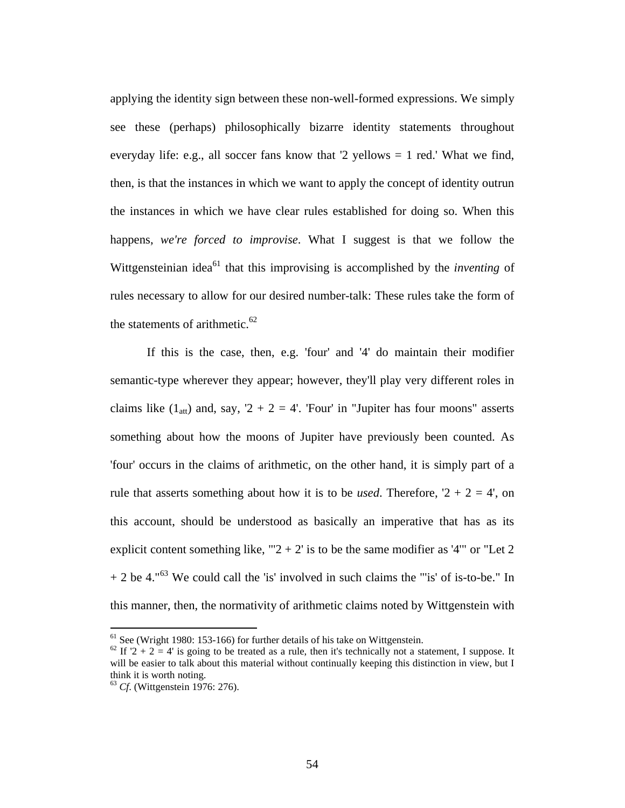applying the identity sign between these non-well-formed expressions. We simply see these (perhaps) philosophically bizarre identity statements throughout everyday life: e.g., all soccer fans know that '2 yellows = 1 red.' What we find, then, is that the instances in which we want to apply the concept of identity outrun the instances in which we have clear rules established for doing so. When this happens, *we're forced to improvise*. What I suggest is that we follow the Wittgensteinian idea<sup>61</sup> that this improvising is accomplished by the *inventing* of rules necessary to allow for our desired number-talk: These rules take the form of the statements of arithmetic. $62$ 

If this is the case, then, e.g. 'four' and '4' do maintain their modifier semantic-type wherever they appear; however, they'll play very different roles in claims like  $(1_{\text{att}})$  and, say,  $2 + 2 = 4'$ . 'Four' in "Jupiter has four moons" asserts something about how the moons of Jupiter have previously been counted. As 'four' occurs in the claims of arithmetic, on the other hand, it is simply part of a rule that asserts something about how it is to be *used*. Therefore,  $2 + 2 = 4$ , on this account, should be understood as basically an imperative that has as its explicit content something like, "' $2 + 2$ ' is to be the same modifier as '4"' or "Let 2  $+ 2$  be 4."<sup>63</sup> We could call the 'is' involved in such claims the "'is' of is-to-be." In this manner, then, the normativity of arithmetic claims noted by Wittgenstein with

<sup>&</sup>lt;sup>61</sup> See (Wright 1980: 153-166) for further details of his take on Wittgenstein.

<sup>&</sup>lt;sup>62</sup> If  $2 + 2 = 4$  is going to be treated as a rule, then it's technically not a statement, I suppose. It will be easier to talk about this material without continually keeping this distinction in view, but I think it is worth noting.

<sup>&</sup>lt;sup>63</sup> *Cf.* (Wittgenstein 1976: 276).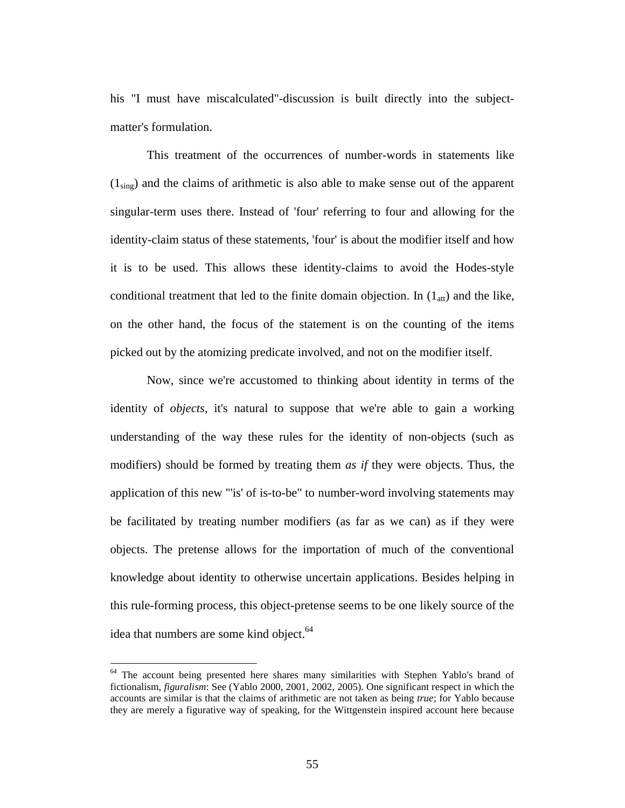his "I must have miscalculated"-discussion is built directly into the subjectmatter's formulation.

This treatment of the occurrences of number-words in statements like  $(1_{\text{sing}})$  and the claims of arithmetic is also able to make sense out of the apparent singular-term uses there. Instead of 'four' referring to four and allowing for the identity-claim status of these statements, 'four' is about the modifier itself and how it is to be used. This allows these identity-claims to avoid the Hodes-style conditional treatment that led to the finite domain objection. In  $(1_{\text{att}})$  and the like, on the other hand, the focus of the statement is on the counting of the items picked out by the atomizing predicate involved, and not on the modifier itself.

Now, since we're accustomed to thinking about identity in terms of the identity of *objects*, it's natural to suppose that we're able to gain a working understanding of the way these rules for the identity of non-objects (such as modifiers) should be formed by treating them *as if* they were objects. Thus, the application of this new "'is' of is-to-be" to number-word involving statements may be facilitated by treating number modifiers (as far as we can) as if they were objects. The pretense allows for the importation of much of the conventional knowledge about identity to otherwise uncertain applications. Besides helping in this rule-forming process, this object-pretense seems to be one likely source of the idea that numbers are some kind object.<sup>64</sup>

<sup>&</sup>lt;sup>64</sup> The account being presented here shares many similarities with Stephen Yablo's brand of fictionalism, *figuralism*: See (Yablo 2000, 2001, 2002, 2005). One significant respect in which the accounts are similar is that the claims of arithmetic are not taken as being *true*; for Yablo because they are merely a figurative way of speaking, for the Wittgenstein inspired account here because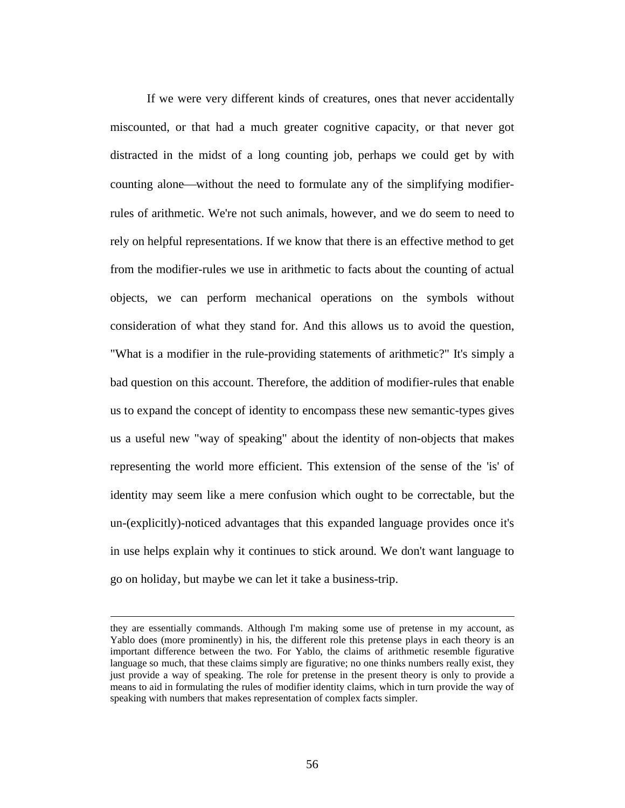If we were very different kinds of creatures, ones that never accidentally miscounted, or that had a much greater cognitive capacity, or that never got distracted in the midst of a long counting job, perhaps we could get by with counting alone—without the need to formulate any of the simplifying modifierrules of arithmetic. We're not such animals, however, and we do seem to need to rely on helpful representations. If we know that there is an effective method to get from the modifier-rules we use in arithmetic to facts about the counting of actual objects, we can perform mechanical operations on the symbols without consideration of what they stand for. And this allows us to avoid the question, "What is a modifier in the rule-providing statements of arithmetic?" It's simply a bad question on this account. Therefore, the addition of modifier-rules that enable us to expand the concept of identity to encompass these new semantic-types gives us a useful new "way of speaking" about the identity of non-objects that makes representing the world more efficient. This extension of the sense of the 'is' of identity may seem like a mere confusion which ought to be correctable, but the un-(explicitly)-noticed advantages that this expanded language provides once it's in use helps explain why it continues to stick around. We don't want language to go on holiday, but maybe we can let it take a business-trip.

1

they are essentially commands. Although I'm making some use of pretense in my account, as Yablo does (more prominently) in his, the different role this pretense plays in each theory is an important difference between the two. For Yablo, the claims of arithmetic resemble figurative language so much, that these claims simply are figurative; no one thinks numbers really exist, they just provide a way of speaking. The role for pretense in the present theory is only to provide a means to aid in formulating the rules of modifier identity claims, which in turn provide the way of speaking with numbers that makes representation of complex facts simpler.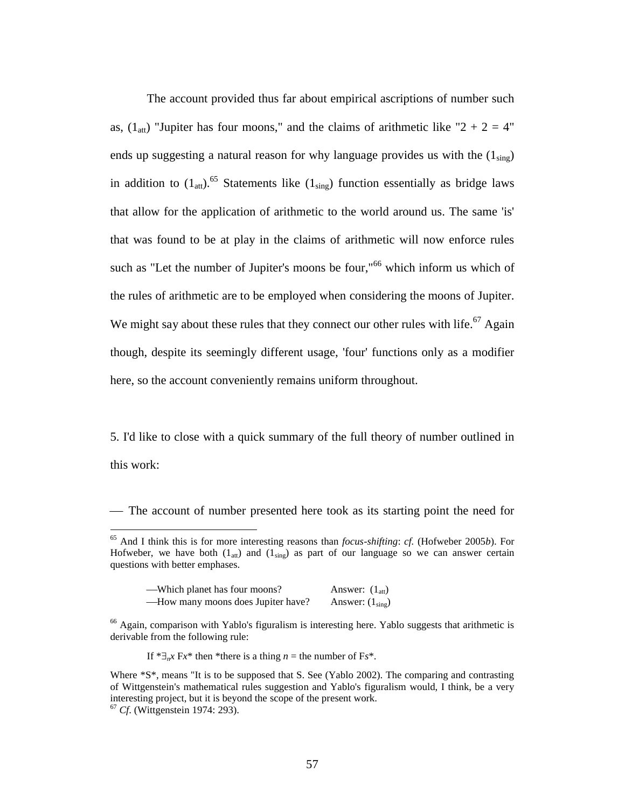The account provided thus far about empirical ascriptions of number such as,  $(1<sub>att</sub>)$  "Jupiter has four moons," and the claims of arithmetic like "2 + 2 = 4" ends up suggesting a natural reason for why language provides us with the  $(1_{sing})$ in addition to  $(1_{\text{att}})$ .<sup>65</sup> Statements like  $(1_{\text{sing}})$  function essentially as bridge laws that allow for the application of arithmetic to the world around us. The same 'is' that was found to be at play in the claims of arithmetic will now enforce rules such as "Let the number of Jupiter's moons be four,"<sup>66</sup> which inform us which of the rules of arithmetic are to be employed when considering the moons of Jupiter. We might say about these rules that they connect our other rules with life.<sup>67</sup> Again though, despite its seemingly different usage, 'four' functions only as a modifier here, so the account conveniently remains uniform throughout.

5. I'd like to close with a quick summary of the full theory of number outlined in this work:

The account of number presented here took as its starting point the need for

<sup>65</sup> And I think this is for more interesting reasons than *focus-shifting*: *cf.* (Hofweber 2005*b*). For Hofweber, we have both  $(1_{att})$  and  $(1_{sing})$  as part of our language so we can answer certain questions with better emphases.

| -Which planet has four moons?       | Answer: $(1_{\text{att}})$ |
|-------------------------------------|----------------------------|
| — How many moons does Jupiter have? | Answer: $(1_{sing})$       |

 $66$  Again, comparison with Yablo's figuralism is interesting here. Yablo suggests that arithmetic is derivable from the following rule:

If  $* \exists_{n} x \in \mathbb{R}^{n}$  then \*there is a thing *n* = the number of Fs\*.

Where \*S\*, means "It is to be supposed that S. See (Yablo 2002). The comparing and contrasting of Wittgenstein's mathematical rules suggestion and Yablo's figuralism would, I think, be a very interesting project, but it is beyond the scope of the present work.

<sup>67</sup> *Cf*. (Wittgenstein 1974: 293).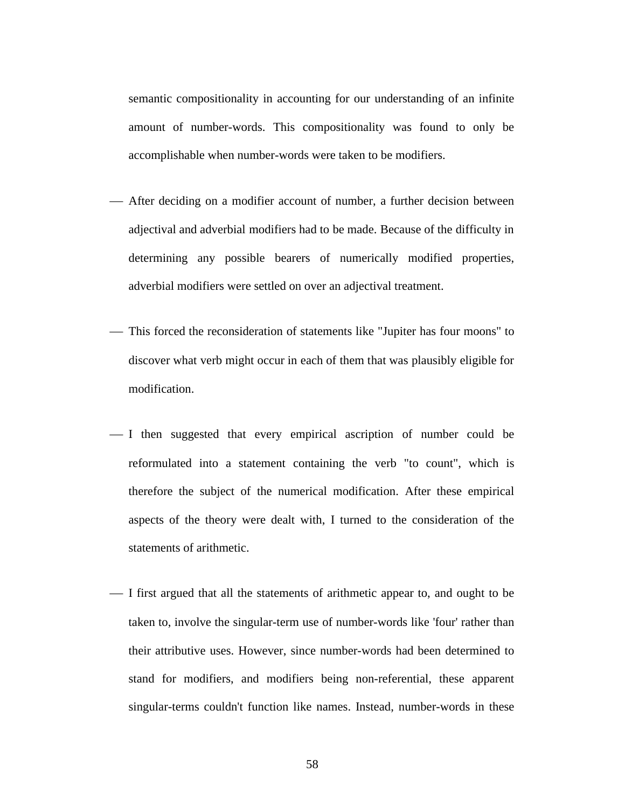semantic compositionality in accounting for our understanding of an infinite amount of number-words. This compositionality was found to only be accomplishable when number-words were taken to be modifiers.

- After deciding on a modifier account of number, a further decision between adjectival and adverbial modifiers had to be made. Because of the difficulty in determining any possible bearers of numerically modified properties, adverbial modifiers were settled on over an adjectival treatment.
- This forced the reconsideration of statements like "Jupiter has four moons" to discover what verb might occur in each of them that was plausibly eligible for modification.
- I then suggested that every empirical ascription of number could be reformulated into a statement containing the verb "to count", which is therefore the subject of the numerical modification. After these empirical aspects of the theory were dealt with, I turned to the consideration of the statements of arithmetic.
- I first argued that all the statements of arithmetic appear to, and ought to be taken to, involve the singular-term use of number-words like 'four' rather than their attributive uses. However, since number-words had been determined to stand for modifiers, and modifiers being non-referential, these apparent singular-terms couldn't function like names. Instead, number-words in these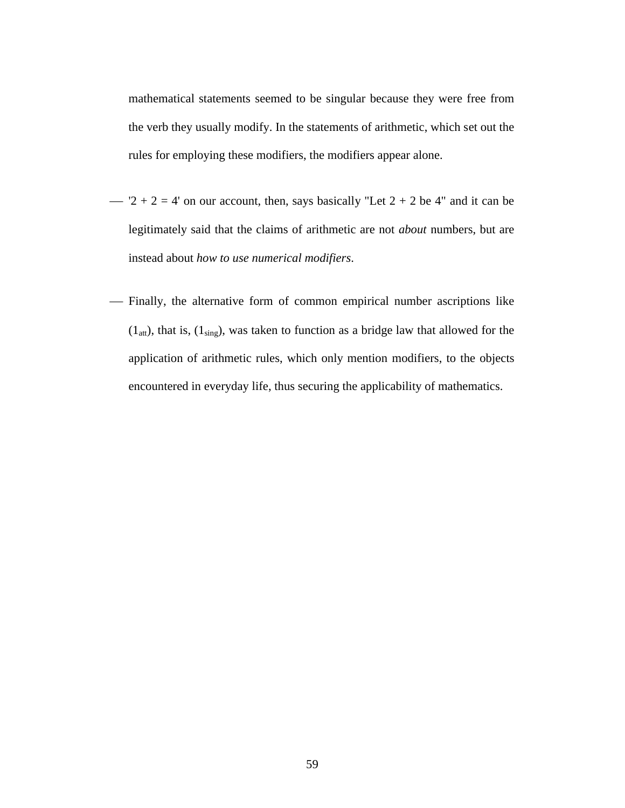mathematical statements seemed to be singular because they were free from the verb they usually modify. In the statements of arithmetic, which set out the rules for employing these modifiers, the modifiers appear alone.

- $-2 + 2 = 4$ ' on our account, then, says basically "Let  $2 + 2$  be 4" and it can be legitimately said that the claims of arithmetic are not *about* numbers, but are instead about *how to use numerical modifiers*.
- Finally, the alternative form of common empirical number ascriptions like  $(1<sub>att</sub>)$ , that is,  $(1<sub>sing</sub>)$ , was taken to function as a bridge law that allowed for the application of arithmetic rules, which only mention modifiers, to the objects encountered in everyday life, thus securing the applicability of mathematics.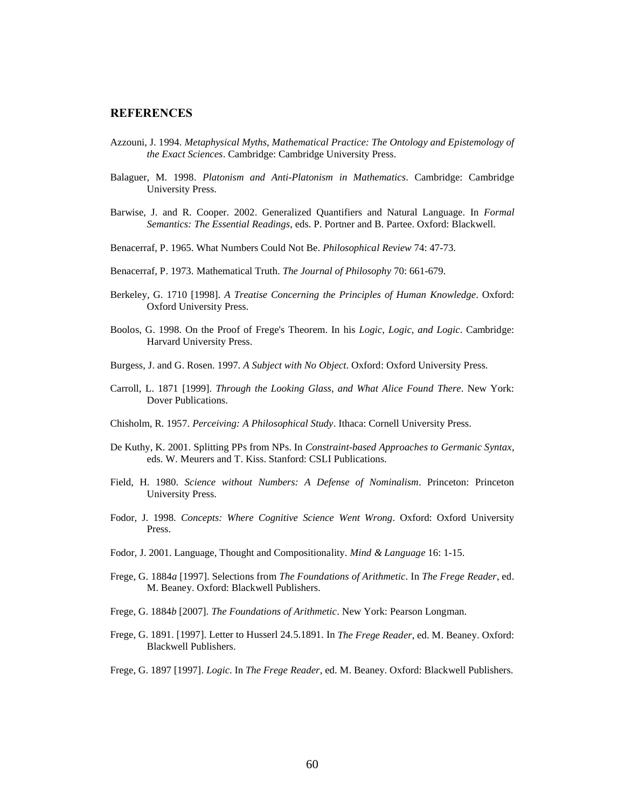#### **REFERENCES**

- Azzouni, J. 1994. *Metaphysical Myths, Mathematical Practice: The Ontology and Epistemology of the Exact Sciences*. Cambridge: Cambridge University Press.
- Balaguer, M. 1998. *Platonism and Anti-Platonism in Mathematics*. Cambridge: Cambridge University Press.
- Barwise, J. and R. Cooper. 2002. Generalized Quantifiers and Natural Language. In *Formal Semantics: The Essential Readings*, eds. P. Portner and B. Partee. Oxford: Blackwell.
- Benacerraf, P. 1965. What Numbers Could Not Be. *Philosophical Review* 74: 47-73.
- Benacerraf, P. 1973. Mathematical Truth. *The Journal of Philosophy* 70: 661-679.
- Berkeley, G. 1710 [1998]. *A Treatise Concerning the Principles of Human Knowledge*. Oxford: Oxford University Press.
- Boolos, G. 1998. On the Proof of Frege's Theorem. In his *Logic, Logic, and Logic*. Cambridge: Harvard University Press.
- Burgess, J. and G. Rosen. 1997. *A Subject with No Object*. Oxford: Oxford University Press.
- Carroll, L. 1871 [1999]. *Through the Looking Glass*, *and What Alice Found There*. New York: Dover Publications.
- Chisholm, R. 1957. *Perceiving: A Philosophical Study*. Ithaca: Cornell University Press.
- De Kuthy, K. 2001. Splitting PPs from NPs. In *Constraint-based Approaches to Germanic Syntax*, eds. W. Meurers and T. Kiss. Stanford: CSLI Publications.
- Field, H. 1980. *Science without Numbers: A Defense of Nominalism*. Princeton: Princeton University Press.
- Fodor, J. 1998. *Concepts: Where Cognitive Science Went Wrong*. Oxford: Oxford University Press.
- Fodor, J. 2001. Language, Thought and Compositionality. *Mind & Language* 16: 1-15.
- Frege, G. 1884*a* [1997]. Selections from *The Foundations of Arithmetic*. In *The Frege Reader*, ed. M. Beaney. Oxford: Blackwell Publishers.
- Frege, G. 1884*b* [2007]. *The Foundations of Arithmetic*. New York: Pearson Longman.
- Frege, G. 1891. [1997]. Letter to Husserl 24.5.1891. In *The Frege Reader*, ed. M. Beaney. Oxford: Blackwell Publishers.
- Frege, G. 1897 [1997]. *Logic*. In *The Frege Reader*, ed. M. Beaney. Oxford: Blackwell Publishers.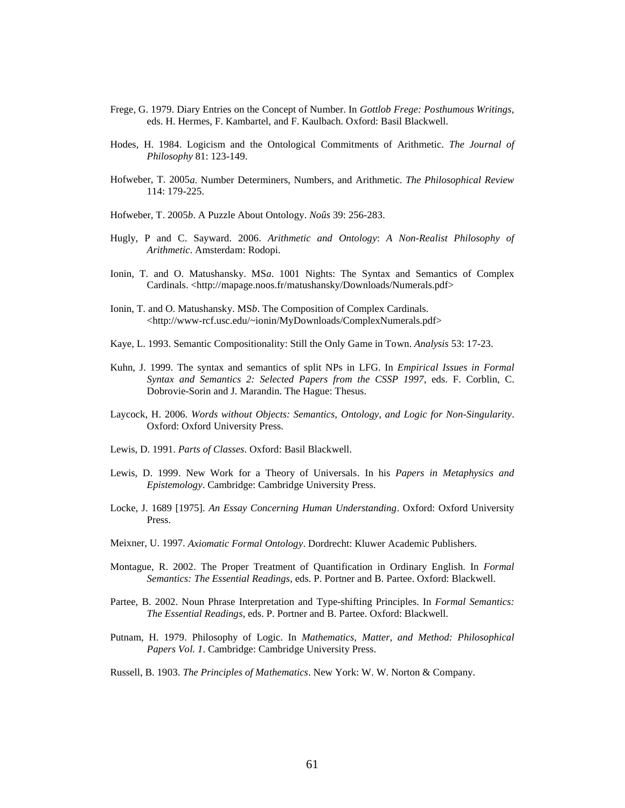- Frege, G. 1979. Diary Entries on the Concept of Number. In *Gottlob Frege: Posthumous Writings*, eds. H. Hermes, F. Kambartel, and F. Kaulbach. Oxford: Basil Blackwell.
- Hodes, H. 1984. Logicism and the Ontological Commitments of Arithmetic. *The Journal of Philosophy* 81: 123-149.
- Hofweber, T. 2005*a*. Number Determiners, Numbers, and Arithmetic. *The Philosophical Review*  114: 179-225.
- Hofweber, T. 2005*b*. A Puzzle About Ontology. *Noûs* 39: 256-283.
- Hugly, P and C. Sayward. 2006. *Arithmetic and Ontology*: *A Non-Realist Philosophy of Arithmetic*. Amsterdam: Rodopi.
- Ionin, T. and O. Matushansky. MS*a*. 1001 Nights: The Syntax and Semantics of Complex Cardinals. <http://mapage.noos.fr/matushansky/Downloads/Numerals.pdf>
- Ionin, T. and O. Matushansky. MS*b*. The Composition of Complex Cardinals. <http://www-rcf.usc.edu/~ionin/MyDownloads/ComplexNumerals.pdf>
- Kaye, L. 1993. Semantic Compositionality: Still the Only Game in Town. *Analysis* 53: 17-23.
- Kuhn, J. 1999. The syntax and semantics of split NPs in LFG. In *Empirical Issues in Formal Syntax and Semantics 2: Selected Papers from the CSSP 1997*, eds. F. Corblin, C. Dobrovie-Sorin and J. Marandin. The Hague: Thesus.
- Laycock, H. 2006. *Words without Objects: Semantics, Ontology, and Logic for Non-Singularity*. Oxford: Oxford University Press.
- Lewis, D. 1991. *Parts of Classes*. Oxford: Basil Blackwell.
- Lewis, D. 1999. New Work for a Theory of Universals. In his *Papers in Metaphysics and Epistemology*. Cambridge: Cambridge University Press.
- Locke, J. 1689 [1975]. *An Essay Concerning Human Understanding*. Oxford: Oxford University Press.
- Meixner, U. 1997. *Axiomatic Formal Ontology*. Dordrecht: Kluwer Academic Publishers.
- Montague, R. 2002. The Proper Treatment of Quantification in Ordinary English. In *Formal Semantics: The Essential Readings*, eds. P. Portner and B. Partee. Oxford: Blackwell.
- Partee, B. 2002. Noun Phrase Interpretation and Type-shifting Principles. In *Formal Semantics: The Essential Readings*, eds. P. Portner and B. Partee. Oxford: Blackwell.
- Putnam, H. 1979. Philosophy of Logic. In *Mathematics, Matter, and Method: Philosophical Papers Vol. 1*. Cambridge: Cambridge University Press.
- Russell, B. 1903. *The Principles of Mathematics*. New York: W. W. Norton & Company.